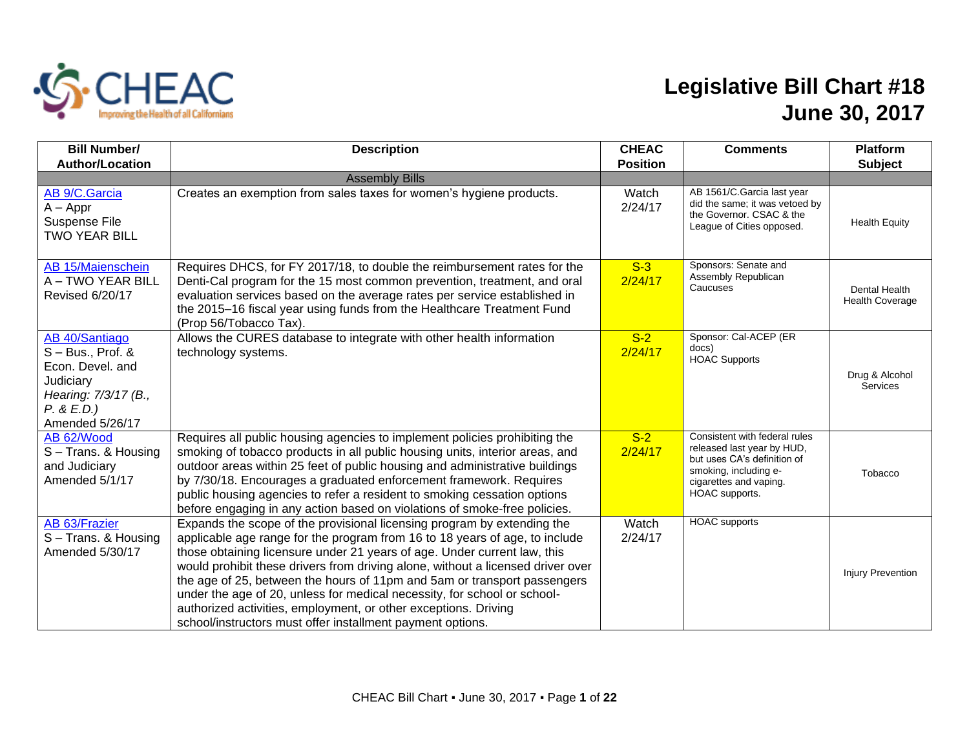

## **Legislative Bill Chart #18 June 30, 2017**

| <b>Bill Number/</b><br><b>Author/Location</b>                                                                                   | <b>Description</b>                                                                                                                                                                                                                                                                                                                                                                                                                                                                                                                                                                                             | <b>CHEAC</b><br><b>Position</b> | <b>Comments</b>                                                                                                                                                 | <b>Platform</b><br><b>Subject</b>       |
|---------------------------------------------------------------------------------------------------------------------------------|----------------------------------------------------------------------------------------------------------------------------------------------------------------------------------------------------------------------------------------------------------------------------------------------------------------------------------------------------------------------------------------------------------------------------------------------------------------------------------------------------------------------------------------------------------------------------------------------------------------|---------------------------------|-----------------------------------------------------------------------------------------------------------------------------------------------------------------|-----------------------------------------|
|                                                                                                                                 | <b>Assembly Bills</b>                                                                                                                                                                                                                                                                                                                                                                                                                                                                                                                                                                                          |                                 |                                                                                                                                                                 |                                         |
| AB 9/C.Garcia<br>$A - Appr$<br>Suspense File<br><b>TWO YEAR BILL</b>                                                            | Creates an exemption from sales taxes for women's hygiene products.                                                                                                                                                                                                                                                                                                                                                                                                                                                                                                                                            | Watch<br>2/24/17                | AB 1561/C.Garcia last year<br>did the same; it was vetoed by<br>the Governor, CSAC & the<br>League of Cities opposed.                                           | <b>Health Equity</b>                    |
| AB 15/Maienschein<br>A - TWO YEAR BILL<br>Revised 6/20/17                                                                       | Requires DHCS, for FY 2017/18, to double the reimbursement rates for the<br>Denti-Cal program for the 15 most common prevention, treatment, and oral<br>evaluation services based on the average rates per service established in<br>the 2015-16 fiscal year using funds from the Healthcare Treatment Fund<br>(Prop 56/Tobacco Tax).                                                                                                                                                                                                                                                                          | $S-3$<br>2/24/17                | Sponsors: Senate and<br>Assembly Republican<br>Caucuses                                                                                                         | Dental Health<br><b>Health Coverage</b> |
| AB 40/Santiago<br>$S - Bus., Prof. &$<br>Econ. Devel. and<br>Judiciary<br>Hearing: 7/3/17 (B.,<br>P. & E.D.)<br>Amended 5/26/17 | Allows the CURES database to integrate with other health information<br>technology systems.                                                                                                                                                                                                                                                                                                                                                                                                                                                                                                                    | $S-2$<br>2/24/17                | Sponsor: Cal-ACEP (ER<br>docs)<br><b>HOAC Supports</b>                                                                                                          | Drug & Alcohol<br>Services              |
| AB 62/Wood<br>S-Trans. & Housing<br>and Judiciary<br>Amended 5/1/17                                                             | Requires all public housing agencies to implement policies prohibiting the<br>smoking of tobacco products in all public housing units, interior areas, and<br>outdoor areas within 25 feet of public housing and administrative buildings<br>by 7/30/18. Encourages a graduated enforcement framework. Requires<br>public housing agencies to refer a resident to smoking cessation options<br>before engaging in any action based on violations of smoke-free policies.                                                                                                                                       | $S-2$<br>2/24/17                | Consistent with federal rules<br>released last year by HUD,<br>but uses CA's definition of<br>smoking, including e-<br>cigarettes and vaping.<br>HOAC supports. | Tobacco                                 |
| AB 63/Frazier<br>S-Trans. & Housing<br>Amended 5/30/17                                                                          | Expands the scope of the provisional licensing program by extending the<br>applicable age range for the program from 16 to 18 years of age, to include<br>those obtaining licensure under 21 years of age. Under current law, this<br>would prohibit these drivers from driving alone, without a licensed driver over<br>the age of 25, between the hours of 11pm and 5am or transport passengers<br>under the age of 20, unless for medical necessity, for school or school-<br>authorized activities, employment, or other exceptions. Driving<br>school/instructors must offer installment payment options. | Watch<br>2/24/17                | <b>HOAC</b> supports                                                                                                                                            | <b>Injury Prevention</b>                |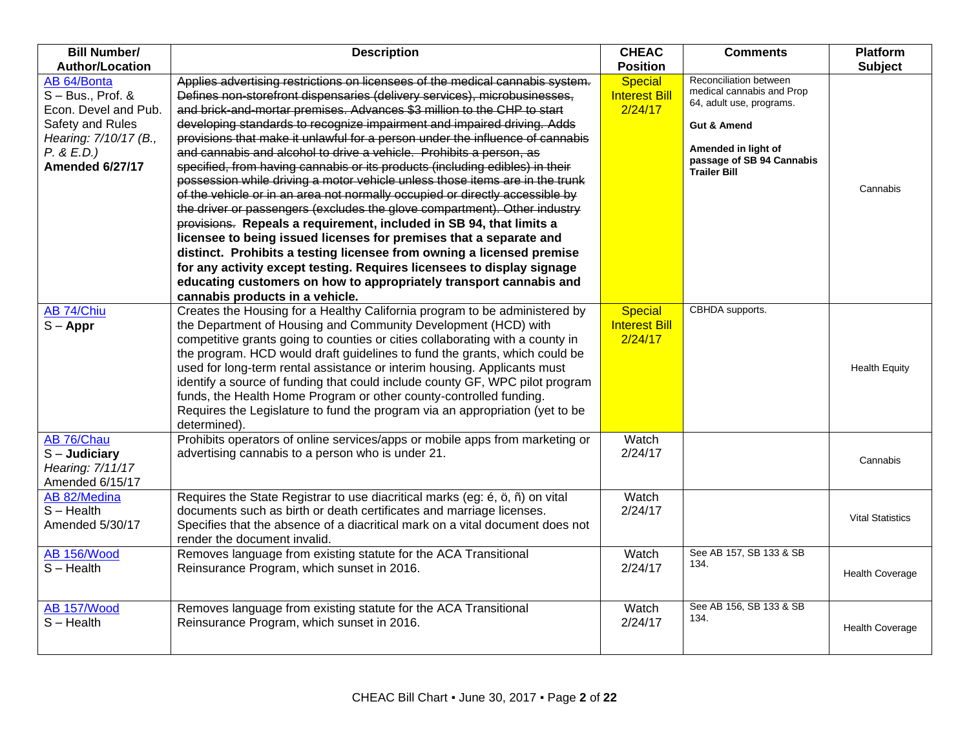| <b>Bill Number/</b>                                                                                                                      | <b>Description</b>                                                                                                                                                                                                                                                                                                                                                                                                                                                                                                                                                                                                                                                                                                                                                                                                                                                                                                                                                                                                                                                                                                                                                                                             | <b>CHEAC</b>                                      | <b>Comments</b>                                                                                                                                                                      | <b>Platform</b>         |
|------------------------------------------------------------------------------------------------------------------------------------------|----------------------------------------------------------------------------------------------------------------------------------------------------------------------------------------------------------------------------------------------------------------------------------------------------------------------------------------------------------------------------------------------------------------------------------------------------------------------------------------------------------------------------------------------------------------------------------------------------------------------------------------------------------------------------------------------------------------------------------------------------------------------------------------------------------------------------------------------------------------------------------------------------------------------------------------------------------------------------------------------------------------------------------------------------------------------------------------------------------------------------------------------------------------------------------------------------------------|---------------------------------------------------|--------------------------------------------------------------------------------------------------------------------------------------------------------------------------------------|-------------------------|
| <b>Author/Location</b>                                                                                                                   |                                                                                                                                                                                                                                                                                                                                                                                                                                                                                                                                                                                                                                                                                                                                                                                                                                                                                                                                                                                                                                                                                                                                                                                                                | <b>Position</b>                                   |                                                                                                                                                                                      | <b>Subject</b>          |
| AB 64/Bonta<br>$S - Bus., Prof. &$<br>Econ. Devel and Pub.<br>Safety and Rules<br>Hearing: 7/10/17 (B.,<br>P. & E.D.)<br>Amended 6/27/17 | Applies advertising restrictions on licensees of the medical cannabis system.<br>Defines non-storefront dispensaries (delivery services), microbusinesses,<br>and brick-and-mortar premises. Advances \$3 million to the CHP to start<br>developing standards to recognize impairment and impaired driving. Adds<br>provisions that make it unlawful for a person under the influence of cannabis<br>and cannabis and alcohol to drive a vehicle. Prohibits a person, as<br>specified, from having cannabis or its products (including edibles) in their<br>possession while driving a motor vehicle unless those items are in the trunk<br>of the vehicle or in an area not normally occupied or directly accessible by<br>the driver or passengers (excludes the glove compartment). Other industry<br>provisions. Repeals a requirement, included in SB 94, that limits a<br>licensee to being issued licenses for premises that a separate and<br>distinct. Prohibits a testing licensee from owning a licensed premise<br>for any activity except testing. Requires licensees to display signage<br>educating customers on how to appropriately transport cannabis and<br>cannabis products in a vehicle. | <b>Special</b><br><b>Interest Bill</b><br>2/24/17 | Reconciliation between<br>medical cannabis and Prop<br>64, adult use, programs.<br><b>Gut &amp; Amend</b><br>Amended in light of<br>passage of SB 94 Cannabis<br><b>Trailer Bill</b> | Cannabis                |
| AB 74/Chiu<br>$S - Appr$                                                                                                                 | Creates the Housing for a Healthy California program to be administered by<br>the Department of Housing and Community Development (HCD) with<br>competitive grants going to counties or cities collaborating with a county in<br>the program. HCD would draft guidelines to fund the grants, which could be<br>used for long-term rental assistance or interim housing. Applicants must<br>identify a source of funding that could include county GF, WPC pilot program<br>funds, the Health Home Program or other county-controlled funding.<br>Requires the Legislature to fund the program via an appropriation (yet to be<br>determined).                                                                                                                                                                                                                                                                                                                                                                                                                                                                                                                                                                  | <b>Special</b><br><b>Interest Bill</b><br>2/24/17 | CBHDA supports.                                                                                                                                                                      | <b>Health Equity</b>    |
| AB 76/Chau<br>$S -$ Judiciary<br>Hearing: 7/11/17<br>Amended 6/15/17                                                                     | Prohibits operators of online services/apps or mobile apps from marketing or<br>advertising cannabis to a person who is under 21.                                                                                                                                                                                                                                                                                                                                                                                                                                                                                                                                                                                                                                                                                                                                                                                                                                                                                                                                                                                                                                                                              | Watch<br>2/24/17                                  |                                                                                                                                                                                      | Cannabis                |
| AB 82/Medina<br>$S - Health$<br>Amended 5/30/17                                                                                          | Requires the State Registrar to use diacritical marks (eg: é, ö, ñ) on vital<br>documents such as birth or death certificates and marriage licenses.<br>Specifies that the absence of a diacritical mark on a vital document does not<br>render the document invalid.                                                                                                                                                                                                                                                                                                                                                                                                                                                                                                                                                                                                                                                                                                                                                                                                                                                                                                                                          | Watch<br>2/24/17                                  |                                                                                                                                                                                      | <b>Vital Statistics</b> |
| AB 156/Wood<br>$S - Health$                                                                                                              | Removes language from existing statute for the ACA Transitional<br>Reinsurance Program, which sunset in 2016.                                                                                                                                                                                                                                                                                                                                                                                                                                                                                                                                                                                                                                                                                                                                                                                                                                                                                                                                                                                                                                                                                                  | Watch<br>2/24/17                                  | See AB 157, SB 133 & SB<br>134.                                                                                                                                                      | <b>Health Coverage</b>  |
| AB 157/Wood<br>$S -$ Health                                                                                                              | Removes language from existing statute for the ACA Transitional<br>Reinsurance Program, which sunset in 2016.                                                                                                                                                                                                                                                                                                                                                                                                                                                                                                                                                                                                                                                                                                                                                                                                                                                                                                                                                                                                                                                                                                  | Watch<br>2/24/17                                  | See AB 156, SB 133 & SB<br>134.                                                                                                                                                      | <b>Health Coverage</b>  |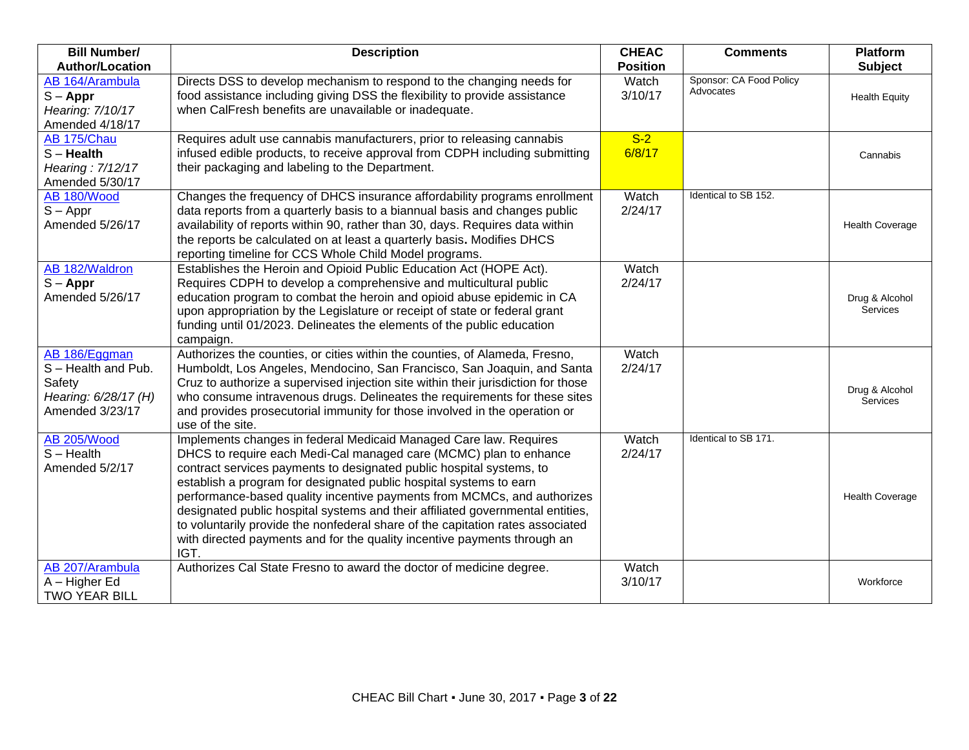| <b>Bill Number/</b>                                                                     | <b>Description</b>                                                                                                                                                                                                                                                                                                                                                                                                                                                                                                                                                                                                      | <b>CHEAC</b>     | <b>Comments</b>                      | <b>Platform</b>            |
|-----------------------------------------------------------------------------------------|-------------------------------------------------------------------------------------------------------------------------------------------------------------------------------------------------------------------------------------------------------------------------------------------------------------------------------------------------------------------------------------------------------------------------------------------------------------------------------------------------------------------------------------------------------------------------------------------------------------------------|------------------|--------------------------------------|----------------------------|
| <b>Author/Location</b>                                                                  |                                                                                                                                                                                                                                                                                                                                                                                                                                                                                                                                                                                                                         | <b>Position</b>  |                                      | <b>Subject</b>             |
| AB 164/Arambula<br>$S - Appr$<br>Hearing: 7/10/17<br>Amended 4/18/17                    | Directs DSS to develop mechanism to respond to the changing needs for<br>food assistance including giving DSS the flexibility to provide assistance<br>when CalFresh benefits are unavailable or inadequate.                                                                                                                                                                                                                                                                                                                                                                                                            | Watch<br>3/10/17 | Sponsor: CA Food Policy<br>Advocates | <b>Health Equity</b>       |
| AB 175/Chau<br>$S -$ Health<br>Hearing: 7/12/17<br>Amended 5/30/17                      | Requires adult use cannabis manufacturers, prior to releasing cannabis<br>infused edible products, to receive approval from CDPH including submitting<br>their packaging and labeling to the Department.                                                                                                                                                                                                                                                                                                                                                                                                                | $S-2$<br>6/8/17  |                                      | Cannabis                   |
| AB 180/Wood<br>$S - Appr$<br>Amended 5/26/17                                            | Changes the frequency of DHCS insurance affordability programs enrollment<br>data reports from a quarterly basis to a biannual basis and changes public<br>availability of reports within 90, rather than 30, days. Requires data within<br>the reports be calculated on at least a quarterly basis. Modifies DHCS<br>reporting timeline for CCS Whole Child Model programs.                                                                                                                                                                                                                                            | Watch<br>2/24/17 | Identical to SB 152.                 | <b>Health Coverage</b>     |
| AB 182/Waldron<br>$S - Appr$<br>Amended 5/26/17                                         | Establishes the Heroin and Opioid Public Education Act (HOPE Act).<br>Requires CDPH to develop a comprehensive and multicultural public<br>education program to combat the heroin and opioid abuse epidemic in CA<br>upon appropriation by the Legislature or receipt of state or federal grant<br>funding until 01/2023. Delineates the elements of the public education<br>campaign.                                                                                                                                                                                                                                  | Watch<br>2/24/17 |                                      | Drug & Alcohol<br>Services |
| AB 186/Eggman<br>S-Health and Pub.<br>Safety<br>Hearing: 6/28/17 (H)<br>Amended 3/23/17 | Authorizes the counties, or cities within the counties, of Alameda, Fresno,<br>Humboldt, Los Angeles, Mendocino, San Francisco, San Joaquin, and Santa<br>Cruz to authorize a supervised injection site within their jurisdiction for those<br>who consume intravenous drugs. Delineates the requirements for these sites<br>and provides prosecutorial immunity for those involved in the operation or<br>use of the site.                                                                                                                                                                                             | Watch<br>2/24/17 |                                      | Drug & Alcohol<br>Services |
| <b>AB 205/Wood</b><br>$S - Health$<br>Amended 5/2/17                                    | Implements changes in federal Medicaid Managed Care law. Requires<br>DHCS to require each Medi-Cal managed care (MCMC) plan to enhance<br>contract services payments to designated public hospital systems, to<br>establish a program for designated public hospital systems to earn<br>performance-based quality incentive payments from MCMCs, and authorizes<br>designated public hospital systems and their affiliated governmental entities,<br>to voluntarily provide the nonfederal share of the capitation rates associated<br>with directed payments and for the quality incentive payments through an<br>IGT. | Watch<br>2/24/17 | Identical to SB 171.                 | <b>Health Coverage</b>     |
| AB 207/Arambula<br>A - Higher Ed<br><b>TWO YEAR BILL</b>                                | Authorizes Cal State Fresno to award the doctor of medicine degree.                                                                                                                                                                                                                                                                                                                                                                                                                                                                                                                                                     | Watch<br>3/10/17 |                                      | Workforce                  |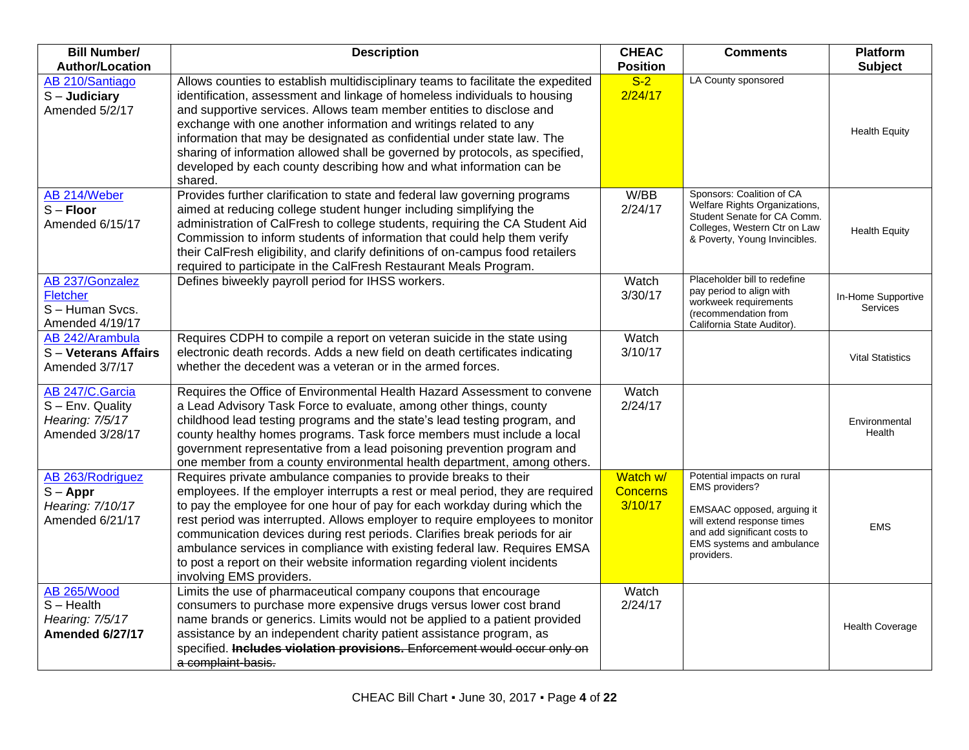| <b>Bill Number/</b><br><b>Author/Location</b>                             | <b>Description</b>                                                                                                                                                                                                                                                                                                                                                                                                                                                                                                                                                                 | <b>CHEAC</b><br><b>Position</b>        | <b>Comments</b>                                                                                                                                                                     | <b>Platform</b><br><b>Subject</b>     |
|---------------------------------------------------------------------------|------------------------------------------------------------------------------------------------------------------------------------------------------------------------------------------------------------------------------------------------------------------------------------------------------------------------------------------------------------------------------------------------------------------------------------------------------------------------------------------------------------------------------------------------------------------------------------|----------------------------------------|-------------------------------------------------------------------------------------------------------------------------------------------------------------------------------------|---------------------------------------|
| AB 210/Santiago                                                           | Allows counties to establish multidisciplinary teams to facilitate the expedited                                                                                                                                                                                                                                                                                                                                                                                                                                                                                                   | $S-2$                                  | LA County sponsored                                                                                                                                                                 |                                       |
| $S -$ Judiciary<br>Amended 5/2/17                                         | identification, assessment and linkage of homeless individuals to housing<br>and supportive services. Allows team member entities to disclose and<br>exchange with one another information and writings related to any<br>information that may be designated as confidential under state law. The<br>sharing of information allowed shall be governed by protocols, as specified,<br>developed by each county describing how and what information can be<br>shared.                                                                                                                | 2/24/17                                |                                                                                                                                                                                     | <b>Health Equity</b>                  |
| AB 214/Weber<br>$S -$ Floor<br>Amended 6/15/17                            | Provides further clarification to state and federal law governing programs<br>aimed at reducing college student hunger including simplifying the<br>administration of CalFresh to college students, requiring the CA Student Aid<br>Commission to inform students of information that could help them verify<br>their CalFresh eligibility, and clarify definitions of on-campus food retailers<br>required to participate in the CalFresh Restaurant Meals Program.                                                                                                               | W/BB<br>2/24/17                        | Sponsors: Coalition of CA<br>Welfare Rights Organizations,<br>Student Senate for CA Comm.<br>Colleges, Western Ctr on Law<br>& Poverty, Young Invincibles.                          | <b>Health Equity</b>                  |
| AB 237/Gonzalez<br>Fletcher<br>S-Human Svcs.<br>Amended 4/19/17           | Defines biweekly payroll period for IHSS workers.                                                                                                                                                                                                                                                                                                                                                                                                                                                                                                                                  | Watch<br>3/30/17                       | Placeholder bill to redefine<br>pay period to align with<br>workweek requirements<br>(recommendation from<br>California State Auditor)                                              | In-Home Supportive<br><b>Services</b> |
| AB 242/Arambula<br>S - Veterans Affairs<br>Amended 3/7/17                 | Requires CDPH to compile a report on veteran suicide in the state using<br>electronic death records. Adds a new field on death certificates indicating<br>whether the decedent was a veteran or in the armed forces.                                                                                                                                                                                                                                                                                                                                                               | Watch<br>3/10/17                       |                                                                                                                                                                                     | <b>Vital Statistics</b>               |
| AB 247/C.Garcia<br>S - Env. Quality<br>Hearing: 7/5/17<br>Amended 3/28/17 | Requires the Office of Environmental Health Hazard Assessment to convene<br>a Lead Advisory Task Force to evaluate, among other things, county<br>childhood lead testing programs and the state's lead testing program, and<br>county healthy homes programs. Task force members must include a local<br>government representative from a lead poisoning prevention program and<br>one member from a county environmental health department, among others.                                                                                                                         | Watch<br>2/24/17                       |                                                                                                                                                                                     | Environmental<br>Health               |
| AB 263/Rodriguez<br>$S - Appr$<br>Hearing: 7/10/17<br>Amended 6/21/17     | Requires private ambulance companies to provide breaks to their<br>employees. If the employer interrupts a rest or meal period, they are required<br>to pay the employee for one hour of pay for each workday during which the<br>rest period was interrupted. Allows employer to require employees to monitor<br>communication devices during rest periods. Clarifies break periods for air<br>ambulance services in compliance with existing federal law. Requires EMSA<br>to post a report on their website information regarding violent incidents<br>involving EMS providers. | Watch w/<br><b>Concerns</b><br>3/10/17 | Potential impacts on rural<br>EMS providers?<br>EMSAAC opposed, arguing it<br>will extend response times<br>and add significant costs to<br>EMS systems and ambulance<br>providers. | <b>EMS</b>                            |
| <b>AB 265/Wood</b><br>$S - Health$<br>Hearing: 7/5/17<br>Amended 6/27/17  | Limits the use of pharmaceutical company coupons that encourage<br>consumers to purchase more expensive drugs versus lower cost brand<br>name brands or generics. Limits would not be applied to a patient provided<br>assistance by an independent charity patient assistance program, as<br>specified. Includes violation provisions. Enforcement would occur only on<br>a complaint-basis.                                                                                                                                                                                      | Watch<br>2/24/17                       |                                                                                                                                                                                     | <b>Health Coverage</b>                |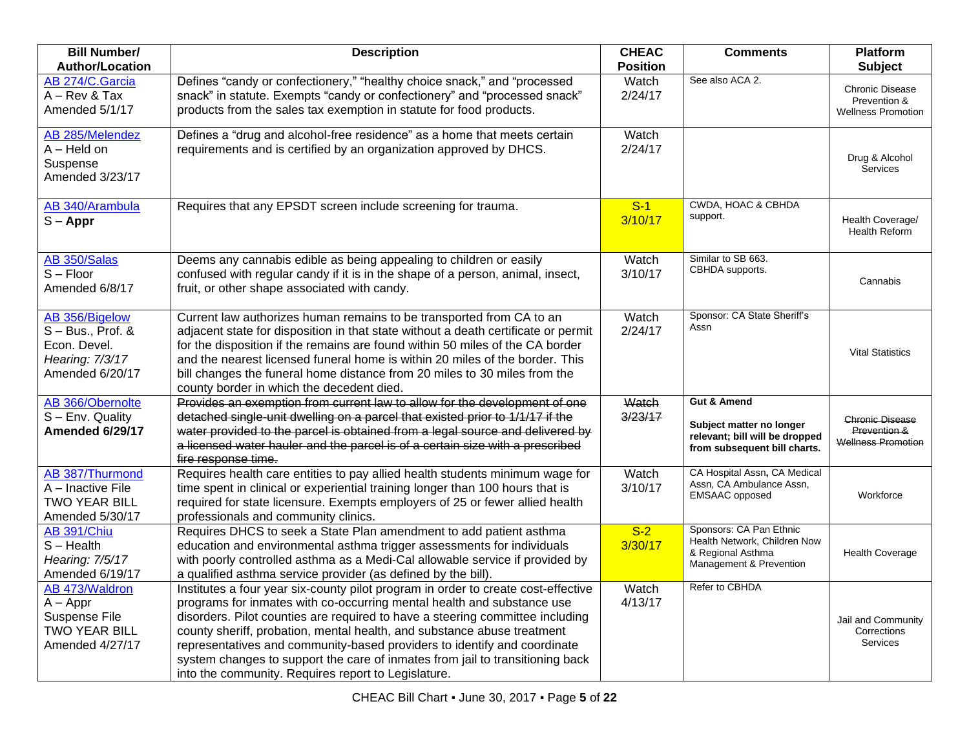| <b>Bill Number/</b><br><b>Author/Location</b>                                               | <b>Description</b>                                                                                                                                                                                                                                                                                                                                                                                                                                                                                                                          | <b>CHEAC</b><br><b>Position</b> | <b>Comments</b>                                                                                                      | Platform<br><b>Subject</b>                                          |
|---------------------------------------------------------------------------------------------|---------------------------------------------------------------------------------------------------------------------------------------------------------------------------------------------------------------------------------------------------------------------------------------------------------------------------------------------------------------------------------------------------------------------------------------------------------------------------------------------------------------------------------------------|---------------------------------|----------------------------------------------------------------------------------------------------------------------|---------------------------------------------------------------------|
| AB 274/C.Garcia<br>$A - Rev & Tax$<br>Amended 5/1/17                                        | Defines "candy or confectionery," "healthy choice snack," and "processed<br>snack" in statute. Exempts "candy or confectionery" and "processed snack"<br>products from the sales tax exemption in statute for food products.                                                                                                                                                                                                                                                                                                                | Watch<br>2/24/17                | See also ACA 2.                                                                                                      | Chronic Disease<br>Prevention &<br><b>Wellness Promotion</b>        |
| AB 285/Melendez<br>$A - Held$ on<br>Suspense<br>Amended 3/23/17                             | Defines a "drug and alcohol-free residence" as a home that meets certain<br>requirements and is certified by an organization approved by DHCS.                                                                                                                                                                                                                                                                                                                                                                                              | Watch<br>2/24/17                |                                                                                                                      | Drug & Alcohol<br><b>Services</b>                                   |
| AB 340/Arambula<br>$S - Appr$                                                               | Requires that any EPSDT screen include screening for trauma.                                                                                                                                                                                                                                                                                                                                                                                                                                                                                | $S-1$<br>3/10/17                | CWDA, HOAC & CBHDA<br>support.                                                                                       | Health Coverage/<br>Health Reform                                   |
| AB 350/Salas<br>$S - Floor$<br>Amended 6/8/17                                               | Deems any cannabis edible as being appealing to children or easily<br>confused with regular candy if it is in the shape of a person, animal, insect,<br>fruit, or other shape associated with candy.                                                                                                                                                                                                                                                                                                                                        | Watch<br>3/10/17                | Similar to SB 663.<br>CBHDA supports.                                                                                | Cannabis                                                            |
| AB 356/Bigelow<br>$S - Bus., Prof. &$<br>Econ. Devel.<br>Hearing: 7/3/17<br>Amended 6/20/17 | Current law authorizes human remains to be transported from CA to an<br>adjacent state for disposition in that state without a death certificate or permit<br>for the disposition if the remains are found within 50 miles of the CA border<br>and the nearest licensed funeral home is within 20 miles of the border. This<br>bill changes the funeral home distance from 20 miles to 30 miles from the<br>county border in which the decedent died.                                                                                       | Watch<br>2/24/17                | Sponsor: CA State Sheriff's<br>Assn                                                                                  | <b>Vital Statistics</b>                                             |
| AB 366/Obernolte<br>S - Env. Quality<br>Amended 6/29/17                                     | Provides an exemption from current law to allow for the development of one<br>detached single-unit dwelling on a parcel that existed prior to 1/1/17 if the<br>water provided to the parcel is obtained from a legal source and delivered by<br>a licensed water hauler and the parcel is of a certain size with a prescribed<br>fire response time.                                                                                                                                                                                        | Watch<br>3/23/17                | <b>Gut &amp; Amend</b><br>Subject matter no longer<br>relevant; bill will be dropped<br>from subsequent bill charts. | <b>Chronic Disease</b><br>Prevention &<br><b>Wellness Promotion</b> |
| AB 387/Thurmond<br>A - Inactive File<br><b>TWO YEAR BILL</b><br>Amended 5/30/17             | Requires health care entities to pay allied health students minimum wage for<br>time spent in clinical or experiential training longer than 100 hours that is<br>required for state licensure. Exempts employers of 25 or fewer allied health<br>professionals and community clinics.                                                                                                                                                                                                                                                       | Watch<br>3/10/17                | CA Hospital Assn, CA Medical<br>Assn, CA Ambulance Assn,<br><b>EMSAAC</b> opposed                                    | Workforce                                                           |
| <b>AB 391/Chiu</b><br>$S - Health$<br>Hearing: 7/5/17<br>Amended 6/19/17                    | Requires DHCS to seek a State Plan amendment to add patient asthma<br>education and environmental asthma trigger assessments for individuals<br>with poorly controlled asthma as a Medi-Cal allowable service if provided by<br>a qualified asthma service provider (as defined by the bill).                                                                                                                                                                                                                                               | $S-2$<br>3/30/17                | Sponsors: CA Pan Ethnic<br>Health Network, Children Now<br>& Regional Asthma<br>Management & Prevention              | <b>Health Coverage</b>                                              |
| AB 473/Waldron<br>$A - Appr$<br>Suspense File<br><b>TWO YEAR BILL</b><br>Amended 4/27/17    | Institutes a four year six-county pilot program in order to create cost-effective<br>programs for inmates with co-occurring mental health and substance use<br>disorders. Pilot counties are required to have a steering committee including<br>county sheriff, probation, mental health, and substance abuse treatment<br>representatives and community-based providers to identify and coordinate<br>system changes to support the care of inmates from jail to transitioning back<br>into the community. Requires report to Legislature. | Watch<br>4/13/17                | Refer to CBHDA                                                                                                       | Jail and Community<br>Corrections<br>Services                       |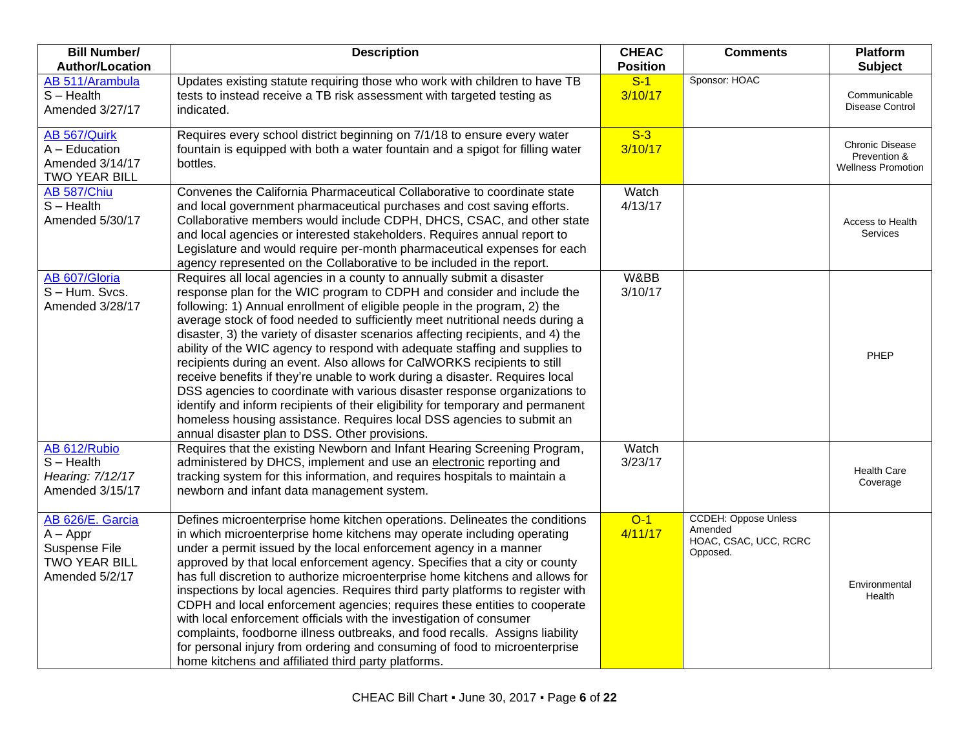| <b>Bill Number/</b><br><b>Author/Location</b>                                             | <b>Description</b>                                                                                                                                                                                                                                                                                                                                                                                                                                                                                                                                                                                                                                                                                                                                                                                                                                                                                                                     | <b>CHEAC</b><br><b>Position</b> | <b>Comments</b>                                                             | Platform<br><b>Subject</b>                                          |
|-------------------------------------------------------------------------------------------|----------------------------------------------------------------------------------------------------------------------------------------------------------------------------------------------------------------------------------------------------------------------------------------------------------------------------------------------------------------------------------------------------------------------------------------------------------------------------------------------------------------------------------------------------------------------------------------------------------------------------------------------------------------------------------------------------------------------------------------------------------------------------------------------------------------------------------------------------------------------------------------------------------------------------------------|---------------------------------|-----------------------------------------------------------------------------|---------------------------------------------------------------------|
| AB 511/Arambula<br>$S - Health$<br>Amended 3/27/17                                        | Updates existing statute requiring those who work with children to have TB<br>tests to instead receive a TB risk assessment with targeted testing as<br>indicated.                                                                                                                                                                                                                                                                                                                                                                                                                                                                                                                                                                                                                                                                                                                                                                     | $S-1$<br>3/10/17                | Sponsor: HOAC                                                               | Communicable<br>Disease Control                                     |
| AB 567/Quirk<br>$A - Education$<br>Amended 3/14/17<br><b>TWO YEAR BILL</b>                | Requires every school district beginning on 7/1/18 to ensure every water<br>fountain is equipped with both a water fountain and a spigot for filling water<br>bottles.                                                                                                                                                                                                                                                                                                                                                                                                                                                                                                                                                                                                                                                                                                                                                                 | $S-3$<br>3/10/17                |                                                                             | <b>Chronic Disease</b><br>Prevention &<br><b>Wellness Promotion</b> |
| AB 587/Chiu<br>$S - Health$<br>Amended 5/30/17                                            | Convenes the California Pharmaceutical Collaborative to coordinate state<br>and local government pharmaceutical purchases and cost saving efforts.<br>Collaborative members would include CDPH, DHCS, CSAC, and other state<br>and local agencies or interested stakeholders. Requires annual report to<br>Legislature and would require per-month pharmaceutical expenses for each<br>agency represented on the Collaborative to be included in the report.                                                                                                                                                                                                                                                                                                                                                                                                                                                                           | Watch<br>4/13/17                |                                                                             | Access to Health<br>Services                                        |
| AB 607/Gloria<br>S-Hum. Svcs.<br>Amended 3/28/17                                          | Requires all local agencies in a county to annually submit a disaster<br>response plan for the WIC program to CDPH and consider and include the<br>following: 1) Annual enrollment of eligible people in the program, 2) the<br>average stock of food needed to sufficiently meet nutritional needs during a<br>disaster, 3) the variety of disaster scenarios affecting recipients, and 4) the<br>ability of the WIC agency to respond with adequate staffing and supplies to<br>recipients during an event. Also allows for CalWORKS recipients to still<br>receive benefits if they're unable to work during a disaster. Requires local<br>DSS agencies to coordinate with various disaster response organizations to<br>identify and inform recipients of their eligibility for temporary and permanent<br>homeless housing assistance. Requires local DSS agencies to submit an<br>annual disaster plan to DSS. Other provisions. | W&BB<br>3/10/17                 |                                                                             | PHEP                                                                |
| AB 612/Rubio<br>$S - Health$<br>Hearing: 7/12/17<br>Amended 3/15/17                       | Requires that the existing Newborn and Infant Hearing Screening Program,<br>administered by DHCS, implement and use an electronic reporting and<br>tracking system for this information, and requires hospitals to maintain a<br>newborn and infant data management system.                                                                                                                                                                                                                                                                                                                                                                                                                                                                                                                                                                                                                                                            | Watch<br>3/23/17                |                                                                             | <b>Health Care</b><br>Coverage                                      |
| AB 626/E. Garcia<br>$A - Appr$<br>Suspense File<br><b>TWO YEAR BILL</b><br>Amended 5/2/17 | Defines microenterprise home kitchen operations. Delineates the conditions<br>in which microenterprise home kitchens may operate including operating<br>under a permit issued by the local enforcement agency in a manner<br>approved by that local enforcement agency. Specifies that a city or county<br>has full discretion to authorize microenterprise home kitchens and allows for<br>inspections by local agencies. Requires third party platforms to register with<br>CDPH and local enforcement agencies; requires these entities to cooperate<br>with local enforcement officials with the investigation of consumer<br>complaints, foodborne illness outbreaks, and food recalls. Assigns liability<br>for personal injury from ordering and consuming of food to microenterprise<br>home kitchens and affiliated third party platforms.                                                                                    | $O-1$<br>4/11/17                | <b>CCDEH: Oppose Unless</b><br>Amended<br>HOAC, CSAC, UCC, RCRC<br>Opposed. | Environmental<br>Health                                             |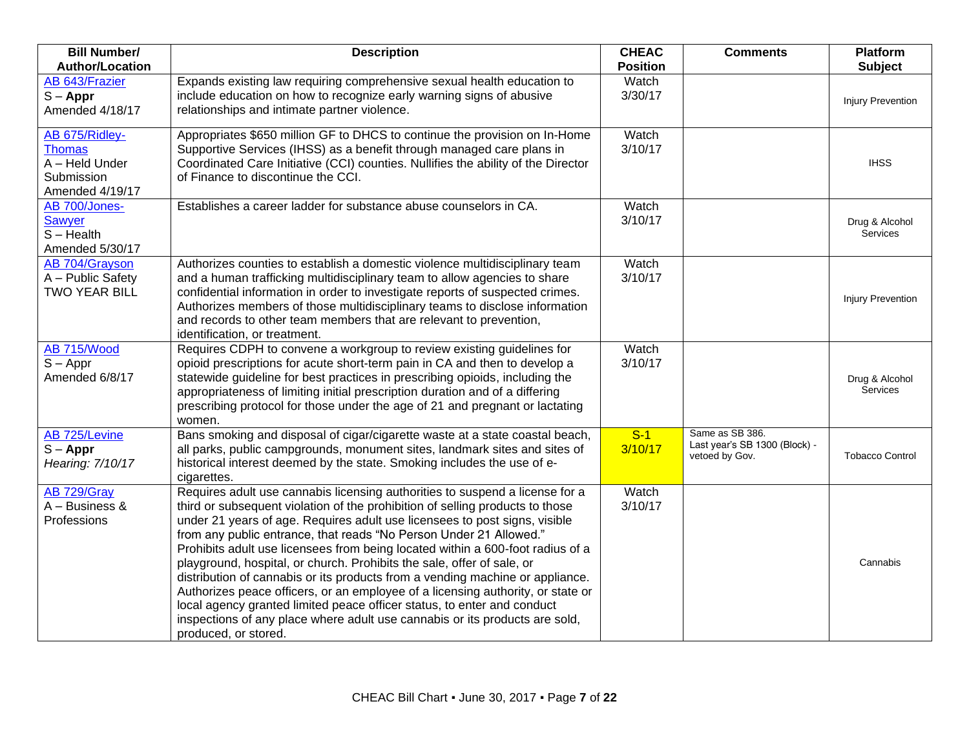| <b>Bill Number/</b><br><b>Author/Location</b>                                      | <b>Description</b>                                                                                                                                                                                                                                                                                                                                                                                                                                                                                                                                                                                                                                                                                                                                                                                                                  | <b>CHEAC</b><br><b>Position</b> | <b>Comments</b>                                                    | Platform<br><b>Subject</b>        |
|------------------------------------------------------------------------------------|-------------------------------------------------------------------------------------------------------------------------------------------------------------------------------------------------------------------------------------------------------------------------------------------------------------------------------------------------------------------------------------------------------------------------------------------------------------------------------------------------------------------------------------------------------------------------------------------------------------------------------------------------------------------------------------------------------------------------------------------------------------------------------------------------------------------------------------|---------------------------------|--------------------------------------------------------------------|-----------------------------------|
| AB 643/Frazier<br>$S - Appr$<br>Amended 4/18/17                                    | Expands existing law requiring comprehensive sexual health education to<br>include education on how to recognize early warning signs of abusive<br>relationships and intimate partner violence.                                                                                                                                                                                                                                                                                                                                                                                                                                                                                                                                                                                                                                     | Watch<br>3/30/17                |                                                                    | <b>Injury Prevention</b>          |
| AB 675/Ridley-<br><b>Thomas</b><br>A - Held Under<br>Submission<br>Amended 4/19/17 | Appropriates \$650 million GF to DHCS to continue the provision on In-Home<br>Supportive Services (IHSS) as a benefit through managed care plans in<br>Coordinated Care Initiative (CCI) counties. Nullifies the ability of the Director<br>of Finance to discontinue the CCI.                                                                                                                                                                                                                                                                                                                                                                                                                                                                                                                                                      | Watch<br>3/10/17                |                                                                    | <b>IHSS</b>                       |
| AB 700/Jones-<br>Sawyer<br>$S - Health$<br>Amended 5/30/17                         | Establishes a career ladder for substance abuse counselors in CA.                                                                                                                                                                                                                                                                                                                                                                                                                                                                                                                                                                                                                                                                                                                                                                   | Watch<br>3/10/17                |                                                                    | Drug & Alcohol<br>Services        |
| AB 704/Grayson<br>A - Public Safety<br><b>TWO YEAR BILL</b>                        | Authorizes counties to establish a domestic violence multidisciplinary team<br>and a human trafficking multidisciplinary team to allow agencies to share<br>confidential information in order to investigate reports of suspected crimes.<br>Authorizes members of those multidisciplinary teams to disclose information<br>and records to other team members that are relevant to prevention,<br>identification, or treatment.                                                                                                                                                                                                                                                                                                                                                                                                     | Watch<br>3/10/17                |                                                                    | <b>Injury Prevention</b>          |
| AB 715/Wood<br>$S - Appr$<br>Amended 6/8/17                                        | Requires CDPH to convene a workgroup to review existing guidelines for<br>opioid prescriptions for acute short-term pain in CA and then to develop a<br>statewide guideline for best practices in prescribing opioids, including the<br>appropriateness of limiting initial prescription duration and of a differing<br>prescribing protocol for those under the age of 21 and pregnant or lactating<br>women.                                                                                                                                                                                                                                                                                                                                                                                                                      | Watch<br>3/10/17                |                                                                    | Drug & Alcohol<br><b>Services</b> |
| AB 725/Levine<br>$S - Appr$<br>Hearing: 7/10/17                                    | Bans smoking and disposal of cigar/cigarette waste at a state coastal beach,<br>all parks, public campgrounds, monument sites, landmark sites and sites of<br>historical interest deemed by the state. Smoking includes the use of e-<br>cigarettes.                                                                                                                                                                                                                                                                                                                                                                                                                                                                                                                                                                                | $S-1$<br>3/10/17                | Same as SB 386.<br>Last year's SB 1300 (Block) -<br>vetoed by Gov. | <b>Tobacco Control</b>            |
| AB 729/Gray<br>$A - B$ usiness &<br>Professions                                    | Requires adult use cannabis licensing authorities to suspend a license for a<br>third or subsequent violation of the prohibition of selling products to those<br>under 21 years of age. Requires adult use licensees to post signs, visible<br>from any public entrance, that reads "No Person Under 21 Allowed."<br>Prohibits adult use licensees from being located within a 600-foot radius of a<br>playground, hospital, or church. Prohibits the sale, offer of sale, or<br>distribution of cannabis or its products from a vending machine or appliance.<br>Authorizes peace officers, or an employee of a licensing authority, or state or<br>local agency granted limited peace officer status, to enter and conduct<br>inspections of any place where adult use cannabis or its products are sold,<br>produced, or stored. | Watch<br>3/10/17                |                                                                    | Cannabis                          |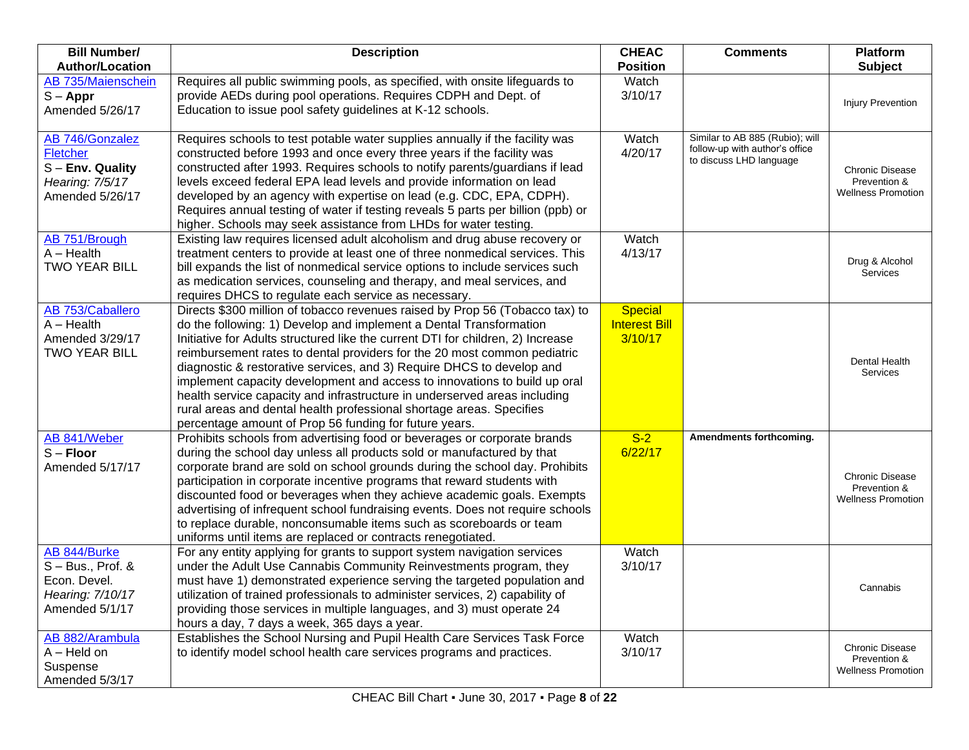| <b>Bill Number/</b>                                                                       | <b>Description</b>                                                                                                                                                                                                                                                                                                                                                                                                                                                                                                                                                                                                                                                                     | <b>CHEAC</b>                                      | <b>Comments</b>                                                                              | <b>Platform</b>                                                     |
|-------------------------------------------------------------------------------------------|----------------------------------------------------------------------------------------------------------------------------------------------------------------------------------------------------------------------------------------------------------------------------------------------------------------------------------------------------------------------------------------------------------------------------------------------------------------------------------------------------------------------------------------------------------------------------------------------------------------------------------------------------------------------------------------|---------------------------------------------------|----------------------------------------------------------------------------------------------|---------------------------------------------------------------------|
| <b>Author/Location</b>                                                                    |                                                                                                                                                                                                                                                                                                                                                                                                                                                                                                                                                                                                                                                                                        | <b>Position</b>                                   |                                                                                              | Subject                                                             |
| AB 735/Maienschein<br>$S - Appr$<br>Amended 5/26/17                                       | Requires all public swimming pools, as specified, with onsite lifeguards to<br>provide AEDs during pool operations. Requires CDPH and Dept. of<br>Education to issue pool safety guidelines at K-12 schools.                                                                                                                                                                                                                                                                                                                                                                                                                                                                           | Watch<br>3/10/17                                  |                                                                                              | <b>Injury Prevention</b>                                            |
| AB 746/Gonzalez<br>Fletcher<br>S - Env. Quality<br>Hearing: 7/5/17<br>Amended 5/26/17     | Requires schools to test potable water supplies annually if the facility was<br>constructed before 1993 and once every three years if the facility was<br>constructed after 1993. Requires schools to notify parents/guardians if lead<br>levels exceed federal EPA lead levels and provide information on lead<br>developed by an agency with expertise on lead (e.g. CDC, EPA, CDPH).<br>Requires annual testing of water if testing reveals 5 parts per billion (ppb) or<br>higher. Schools may seek assistance from LHDs for water testing.                                                                                                                                        | Watch<br>4/20/17                                  | Similar to AB 885 (Rubio); will<br>follow-up with author's office<br>to discuss LHD language | <b>Chronic Disease</b><br>Prevention &<br><b>Wellness Promotion</b> |
| AB 751/Brough<br>$A - Health$<br><b>TWO YEAR BILL</b>                                     | Existing law requires licensed adult alcoholism and drug abuse recovery or<br>treatment centers to provide at least one of three nonmedical services. This<br>bill expands the list of nonmedical service options to include services such<br>as medication services, counseling and therapy, and meal services, and<br>requires DHCS to regulate each service as necessary.                                                                                                                                                                                                                                                                                                           | Watch<br>4/13/17                                  |                                                                                              | Drug & Alcohol<br><b>Services</b>                                   |
| AB 753/Caballero<br>$A - Health$<br>Amended 3/29/17<br><b>TWO YEAR BILL</b>               | Directs \$300 million of tobacco revenues raised by Prop 56 (Tobacco tax) to<br>do the following: 1) Develop and implement a Dental Transformation<br>Initiative for Adults structured like the current DTI for children, 2) Increase<br>reimbursement rates to dental providers for the 20 most common pediatric<br>diagnostic & restorative services, and 3) Require DHCS to develop and<br>implement capacity development and access to innovations to build up oral<br>health service capacity and infrastructure in underserved areas including<br>rural areas and dental health professional shortage areas. Specifies<br>percentage amount of Prop 56 funding for future years. | <b>Special</b><br><b>Interest Bill</b><br>3/10/17 |                                                                                              | Dental Health<br><b>Services</b>                                    |
| AB 841/Weber<br>$S -$ Floor<br>Amended 5/17/17                                            | Prohibits schools from advertising food or beverages or corporate brands<br>during the school day unless all products sold or manufactured by that<br>corporate brand are sold on school grounds during the school day. Prohibits<br>participation in corporate incentive programs that reward students with<br>discounted food or beverages when they achieve academic goals. Exempts<br>advertising of infrequent school fundraising events. Does not require schools<br>to replace durable, nonconsumable items such as scoreboards or team<br>uniforms until items are replaced or contracts renegotiated.                                                                         | $S-2$<br>6/22/17                                  | Amendments forthcoming.                                                                      | Chronic Disease<br>Prevention &<br><b>Wellness Promotion</b>        |
| AB 844/Burke<br>$S - Bus., Prof. &$<br>Econ. Devel.<br>Hearing: 7/10/17<br>Amended 5/1/17 | For any entity applying for grants to support system navigation services<br>under the Adult Use Cannabis Community Reinvestments program, they<br>must have 1) demonstrated experience serving the targeted population and<br>utilization of trained professionals to administer services, 2) capability of<br>providing those services in multiple languages, and 3) must operate 24<br>hours a day, 7 days a week, 365 days a year.                                                                                                                                                                                                                                                  | Watch<br>3/10/17                                  |                                                                                              | Cannabis                                                            |
| AB 882/Arambula<br>$A - Held$ on<br>Suspense<br>Amended 5/3/17                            | Establishes the School Nursing and Pupil Health Care Services Task Force<br>to identify model school health care services programs and practices.                                                                                                                                                                                                                                                                                                                                                                                                                                                                                                                                      | Watch<br>3/10/17                                  |                                                                                              | <b>Chronic Disease</b><br>Prevention &<br><b>Wellness Promotion</b> |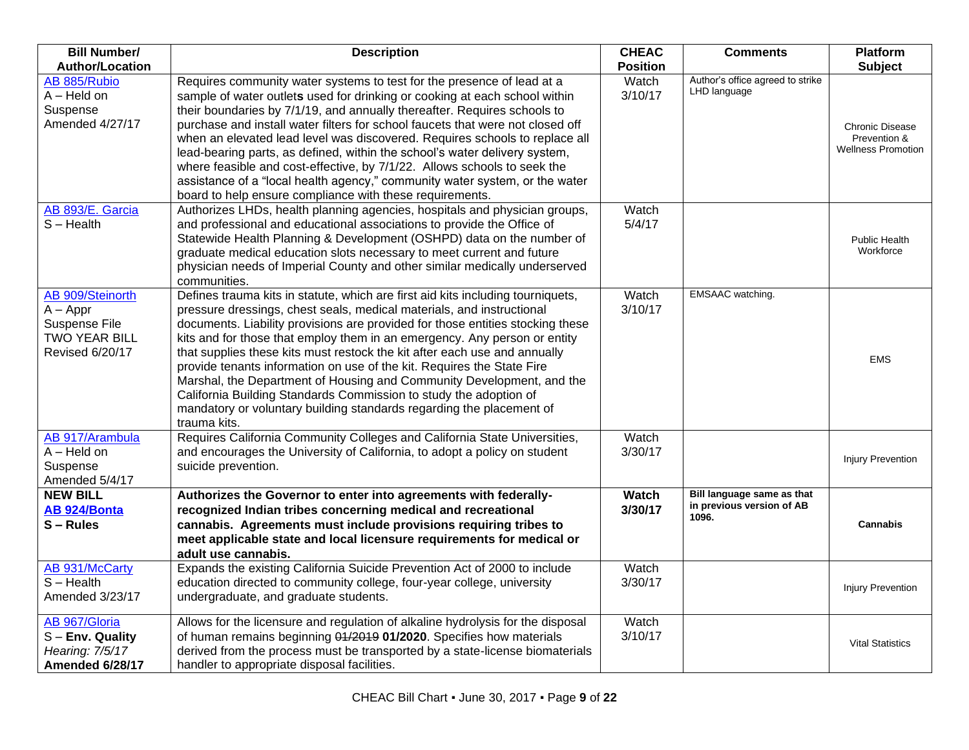| <b>Bill Number/</b>                                                                 | <b>Description</b>                                                                                                                                                                                                                                                                                                                                                                                                                                                                                                                                                                                                                                                                                                   | <b>CHEAC</b>            | <b>Comments</b>                                                  | <b>Platform</b>                                                     |
|-------------------------------------------------------------------------------------|----------------------------------------------------------------------------------------------------------------------------------------------------------------------------------------------------------------------------------------------------------------------------------------------------------------------------------------------------------------------------------------------------------------------------------------------------------------------------------------------------------------------------------------------------------------------------------------------------------------------------------------------------------------------------------------------------------------------|-------------------------|------------------------------------------------------------------|---------------------------------------------------------------------|
| <b>Author/Location</b>                                                              |                                                                                                                                                                                                                                                                                                                                                                                                                                                                                                                                                                                                                                                                                                                      | <b>Position</b>         |                                                                  | <b>Subject</b>                                                      |
| AB 885/Rubio<br>$A - Held$ on<br>Suspense<br>Amended 4/27/17                        | Requires community water systems to test for the presence of lead at a<br>sample of water outlets used for drinking or cooking at each school within<br>their boundaries by 7/1/19, and annually thereafter. Requires schools to<br>purchase and install water filters for school faucets that were not closed off<br>when an elevated lead level was discovered. Requires schools to replace all<br>lead-bearing parts, as defined, within the school's water delivery system,<br>where feasible and cost-effective, by 7/1/22. Allows schools to seek the<br>assistance of a "local health agency," community water system, or the water<br>board to help ensure compliance with these requirements.               | Watch<br>3/10/17        | Author's office agreed to strike<br>LHD language                 | <b>Chronic Disease</b><br>Prevention &<br><b>Wellness Promotion</b> |
| AB 893/E. Garcia<br>$S - Health$                                                    | Authorizes LHDs, health planning agencies, hospitals and physician groups,<br>and professional and educational associations to provide the Office of<br>Statewide Health Planning & Development (OSHPD) data on the number of<br>graduate medical education slots necessary to meet current and future<br>physician needs of Imperial County and other similar medically underserved<br>communities.                                                                                                                                                                                                                                                                                                                 | Watch<br>5/4/17         |                                                                  | Public Health<br>Workforce                                          |
| AB 909/Steinorth<br>$A - Appr$<br>Suspense File<br>TWO YEAR BILL<br>Revised 6/20/17 | Defines trauma kits in statute, which are first aid kits including tourniquets,<br>pressure dressings, chest seals, medical materials, and instructional<br>documents. Liability provisions are provided for those entities stocking these<br>kits and for those that employ them in an emergency. Any person or entity<br>that supplies these kits must restock the kit after each use and annually<br>provide tenants information on use of the kit. Requires the State Fire<br>Marshal, the Department of Housing and Community Development, and the<br>California Building Standards Commission to study the adoption of<br>mandatory or voluntary building standards regarding the placement of<br>trauma kits. | Watch<br>3/10/17        | EMSAAC watching.                                                 | <b>EMS</b>                                                          |
| AB 917/Arambula<br>$A - Held$ on<br>Suspense<br>Amended 5/4/17                      | Requires California Community Colleges and California State Universities,<br>and encourages the University of California, to adopt a policy on student<br>suicide prevention.                                                                                                                                                                                                                                                                                                                                                                                                                                                                                                                                        | Watch<br>3/30/17        |                                                                  | <b>Injury Prevention</b>                                            |
| <b>NEW BILL</b><br>AB 924/Bonta<br>$S - Rules$                                      | Authorizes the Governor to enter into agreements with federally-<br>recognized Indian tribes concerning medical and recreational<br>cannabis. Agreements must include provisions requiring tribes to<br>meet applicable state and local licensure requirements for medical or<br>adult use cannabis.                                                                                                                                                                                                                                                                                                                                                                                                                 | <b>Watch</b><br>3/30/17 | Bill language same as that<br>in previous version of AB<br>1096. | <b>Cannabis</b>                                                     |
| <b>AB 931/McCarty</b><br>$S - Health$<br>Amended 3/23/17                            | Expands the existing California Suicide Prevention Act of 2000 to include<br>education directed to community college, four-year college, university<br>undergraduate, and graduate students.                                                                                                                                                                                                                                                                                                                                                                                                                                                                                                                         | Watch<br>3/30/17        |                                                                  | <b>Injury Prevention</b>                                            |
| AB 967/Gloria<br>$S$ – Env. Quality<br>Hearing: 7/5/17<br>Amended 6/28/17           | Allows for the licensure and regulation of alkaline hydrolysis for the disposal<br>of human remains beginning 01/2019 01/2020. Specifies how materials<br>derived from the process must be transported by a state-license biomaterials<br>handler to appropriate disposal facilities.                                                                                                                                                                                                                                                                                                                                                                                                                                | Watch<br>3/10/17        |                                                                  | <b>Vital Statistics</b>                                             |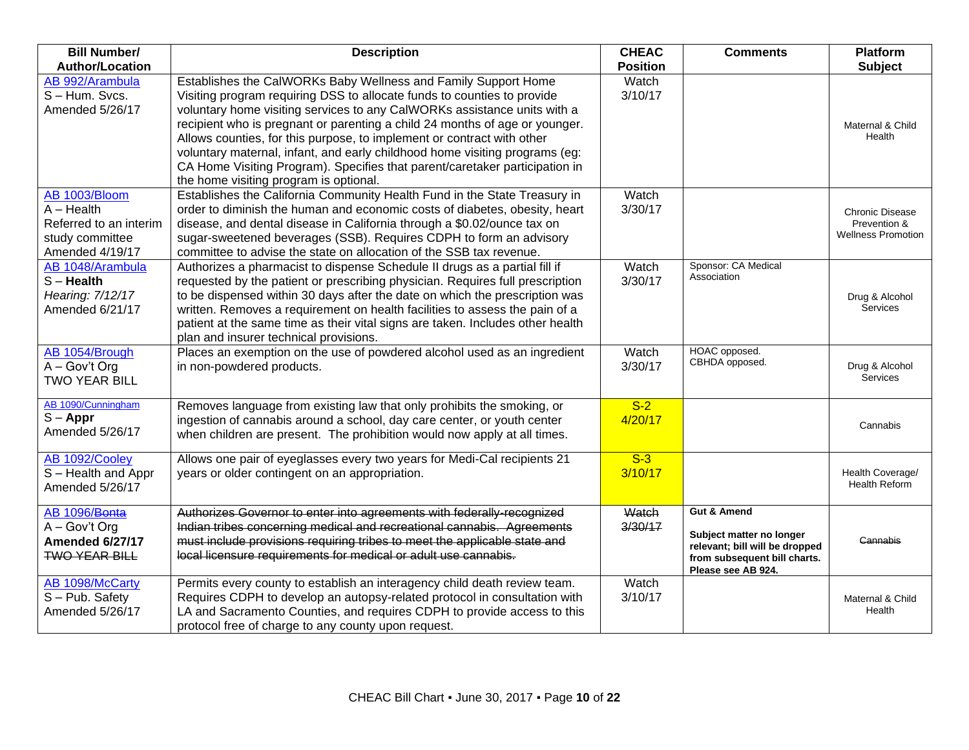| <b>Bill Number/</b>                                                                           | <b>Description</b>                                                                                                                                                                                                                                                                                                                                                                                                                                                                                                                                                                     | <b>CHEAC</b>     | <b>Comments</b>                                                                                                                            | <b>Platform</b>                                                     |
|-----------------------------------------------------------------------------------------------|----------------------------------------------------------------------------------------------------------------------------------------------------------------------------------------------------------------------------------------------------------------------------------------------------------------------------------------------------------------------------------------------------------------------------------------------------------------------------------------------------------------------------------------------------------------------------------------|------------------|--------------------------------------------------------------------------------------------------------------------------------------------|---------------------------------------------------------------------|
| <b>Author/Location</b>                                                                        |                                                                                                                                                                                                                                                                                                                                                                                                                                                                                                                                                                                        | <b>Position</b>  |                                                                                                                                            | <b>Subject</b>                                                      |
| AB 992/Arambula<br>S-Hum. Svcs.<br>Amended 5/26/17                                            | Establishes the CalWORKs Baby Wellness and Family Support Home<br>Visiting program requiring DSS to allocate funds to counties to provide<br>voluntary home visiting services to any CalWORKs assistance units with a<br>recipient who is pregnant or parenting a child 24 months of age or younger.<br>Allows counties, for this purpose, to implement or contract with other<br>voluntary maternal, infant, and early childhood home visiting programs (eg:<br>CA Home Visiting Program). Specifies that parent/caretaker participation in<br>the home visiting program is optional. | Watch<br>3/10/17 |                                                                                                                                            | Maternal & Child<br>Health                                          |
| AB 1003/Bloom<br>$A - Health$<br>Referred to an interim<br>study committee<br>Amended 4/19/17 | Establishes the California Community Health Fund in the State Treasury in<br>order to diminish the human and economic costs of diabetes, obesity, heart<br>disease, and dental disease in California through a \$0.02/ounce tax on<br>sugar-sweetened beverages (SSB). Requires CDPH to form an advisory<br>committee to advise the state on allocation of the SSB tax revenue.                                                                                                                                                                                                        | Watch<br>3/30/17 |                                                                                                                                            | <b>Chronic Disease</b><br>Prevention &<br><b>Wellness Promotion</b> |
| AB 1048/Arambula<br>$S -$ Health<br>Hearing: 7/12/17<br>Amended 6/21/17                       | Authorizes a pharmacist to dispense Schedule II drugs as a partial fill if<br>requested by the patient or prescribing physician. Requires full prescription<br>to be dispensed within 30 days after the date on which the prescription was<br>written. Removes a requirement on health facilities to assess the pain of a<br>patient at the same time as their vital signs are taken. Includes other health<br>plan and insurer technical provisions.                                                                                                                                  | Watch<br>3/30/17 | Sponsor: CA Medical<br>Association                                                                                                         | Drug & Alcohol<br><b>Services</b>                                   |
| AB 1054/Brough<br>$A - Gov't$ Org<br><b>TWO YEAR BILL</b>                                     | Places an exemption on the use of powdered alcohol used as an ingredient<br>in non-powdered products.                                                                                                                                                                                                                                                                                                                                                                                                                                                                                  | Watch<br>3/30/17 | HOAC opposed.<br>CBHDA opposed.                                                                                                            | Drug & Alcohol<br>Services                                          |
| AB 1090/Cunningham<br>$S - Appr$<br>Amended 5/26/17                                           | Removes language from existing law that only prohibits the smoking, or<br>ingestion of cannabis around a school, day care center, or youth center<br>when children are present. The prohibition would now apply at all times.                                                                                                                                                                                                                                                                                                                                                          | $S-2$<br>4/20/17 |                                                                                                                                            | Cannabis                                                            |
| AB 1092/Cooley<br>S-Health and Appr<br>Amended 5/26/17                                        | Allows one pair of eyeglasses every two years for Medi-Cal recipients 21<br>years or older contingent on an appropriation.                                                                                                                                                                                                                                                                                                                                                                                                                                                             | $S-3$<br>3/10/17 |                                                                                                                                            | Health Coverage/<br><b>Health Reform</b>                            |
| AB 1096/Bonta<br>$A - Gov't$ Org<br>Amended 6/27/17<br><b>TWO YEAR BILL</b>                   | Authorizes Governor to enter into agreements with federally-recognized<br>Indian tribes concerning medical and recreational cannabis. Agreements<br>must include provisions requiring tribes to meet the applicable state and<br>local licensure requirements for medical or adult use cannabis.                                                                                                                                                                                                                                                                                       | Watch<br>3/30/17 | <b>Gut &amp; Amend</b><br>Subject matter no longer<br>relevant; bill will be dropped<br>from subsequent bill charts.<br>Please see AB 924. | Cannabis                                                            |
| AB 1098/McCarty<br>$S - Pub.$ Safety<br>Amended 5/26/17                                       | Permits every county to establish an interagency child death review team.<br>Requires CDPH to develop an autopsy-related protocol in consultation with<br>LA and Sacramento Counties, and requires CDPH to provide access to this<br>protocol free of charge to any county upon request.                                                                                                                                                                                                                                                                                               | Watch<br>3/10/17 |                                                                                                                                            | Maternal & Child<br>Health                                          |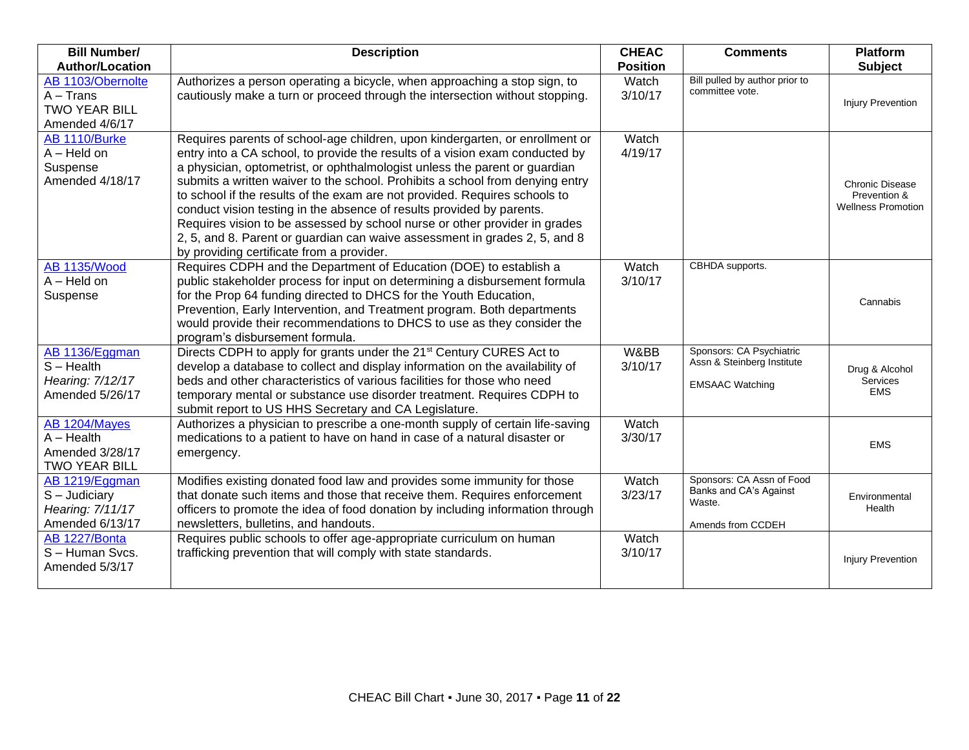| <b>Bill Number/</b>                                                        | <b>Description</b>                                                                                                                                                                                                                                                                                                                                                                                                                                                                                                                                                                                                                                                                          | <b>CHEAC</b>     | <b>Comments</b>                                                                    | <b>Platform</b>                                                     |
|----------------------------------------------------------------------------|---------------------------------------------------------------------------------------------------------------------------------------------------------------------------------------------------------------------------------------------------------------------------------------------------------------------------------------------------------------------------------------------------------------------------------------------------------------------------------------------------------------------------------------------------------------------------------------------------------------------------------------------------------------------------------------------|------------------|------------------------------------------------------------------------------------|---------------------------------------------------------------------|
| <b>Author/Location</b>                                                     |                                                                                                                                                                                                                                                                                                                                                                                                                                                                                                                                                                                                                                                                                             | <b>Position</b>  |                                                                                    | <b>Subject</b>                                                      |
| AB 1103/Obernolte<br>$A - Trans$<br><b>TWO YEAR BILL</b><br>Amended 4/6/17 | Authorizes a person operating a bicycle, when approaching a stop sign, to<br>cautiously make a turn or proceed through the intersection without stopping.                                                                                                                                                                                                                                                                                                                                                                                                                                                                                                                                   | Watch<br>3/10/17 | Bill pulled by author prior to<br>committee vote.                                  | <b>Injury Prevention</b>                                            |
| AB 1110/Burke<br>$A - Held$ on<br>Suspense<br>Amended 4/18/17              | Requires parents of school-age children, upon kindergarten, or enrollment or<br>entry into a CA school, to provide the results of a vision exam conducted by<br>a physician, optometrist, or ophthalmologist unless the parent or guardian<br>submits a written waiver to the school. Prohibits a school from denying entry<br>to school if the results of the exam are not provided. Requires schools to<br>conduct vision testing in the absence of results provided by parents.<br>Requires vision to be assessed by school nurse or other provider in grades<br>2, 5, and 8. Parent or guardian can waive assessment in grades 2, 5, and 8<br>by providing certificate from a provider. | Watch<br>4/19/17 |                                                                                    | <b>Chronic Disease</b><br>Prevention &<br><b>Wellness Promotion</b> |
| <b>AB 1135/Wood</b><br>$A - Held$ on<br>Suspense                           | Requires CDPH and the Department of Education (DOE) to establish a<br>public stakeholder process for input on determining a disbursement formula<br>for the Prop 64 funding directed to DHCS for the Youth Education,<br>Prevention, Early Intervention, and Treatment program. Both departments<br>would provide their recommendations to DHCS to use as they consider the<br>program's disbursement formula.                                                                                                                                                                                                                                                                              | Watch<br>3/10/17 | CBHDA supports.                                                                    | Cannabis                                                            |
| AB 1136/Eggman<br>$S - Health$<br>Hearing: 7/12/17<br>Amended 5/26/17      | Directs CDPH to apply for grants under the 21 <sup>st</sup> Century CURES Act to<br>develop a database to collect and display information on the availability of<br>beds and other characteristics of various facilities for those who need<br>temporary mental or substance use disorder treatment. Requires CDPH to<br>submit report to US HHS Secretary and CA Legislature.                                                                                                                                                                                                                                                                                                              | W&BB<br>3/10/17  | Sponsors: CA Psychiatric<br>Assn & Steinberg Institute<br><b>EMSAAC Watching</b>   | Drug & Alcohol<br>Services<br><b>EMS</b>                            |
| AB 1204/Mayes<br>$A - Health$<br>Amended 3/28/17<br>TWO YEAR BILL          | Authorizes a physician to prescribe a one-month supply of certain life-saving<br>medications to a patient to have on hand in case of a natural disaster or<br>emergency.                                                                                                                                                                                                                                                                                                                                                                                                                                                                                                                    | Watch<br>3/30/17 |                                                                                    | <b>EMS</b>                                                          |
| AB 1219/Eggman<br>$S -$ Judiciary<br>Hearing: 7/11/17<br>Amended 6/13/17   | Modifies existing donated food law and provides some immunity for those<br>that donate such items and those that receive them. Requires enforcement<br>officers to promote the idea of food donation by including information through<br>newsletters, bulletins, and handouts.                                                                                                                                                                                                                                                                                                                                                                                                              | Watch<br>3/23/17 | Sponsors: CA Assn of Food<br>Banks and CA's Against<br>Waste.<br>Amends from CCDEH | Environmental<br>Health                                             |
| AB 1227/Bonta<br>S-Human Svcs.<br>Amended 5/3/17                           | Requires public schools to offer age-appropriate curriculum on human<br>trafficking prevention that will comply with state standards.                                                                                                                                                                                                                                                                                                                                                                                                                                                                                                                                                       | Watch<br>3/10/17 |                                                                                    | <b>Injury Prevention</b>                                            |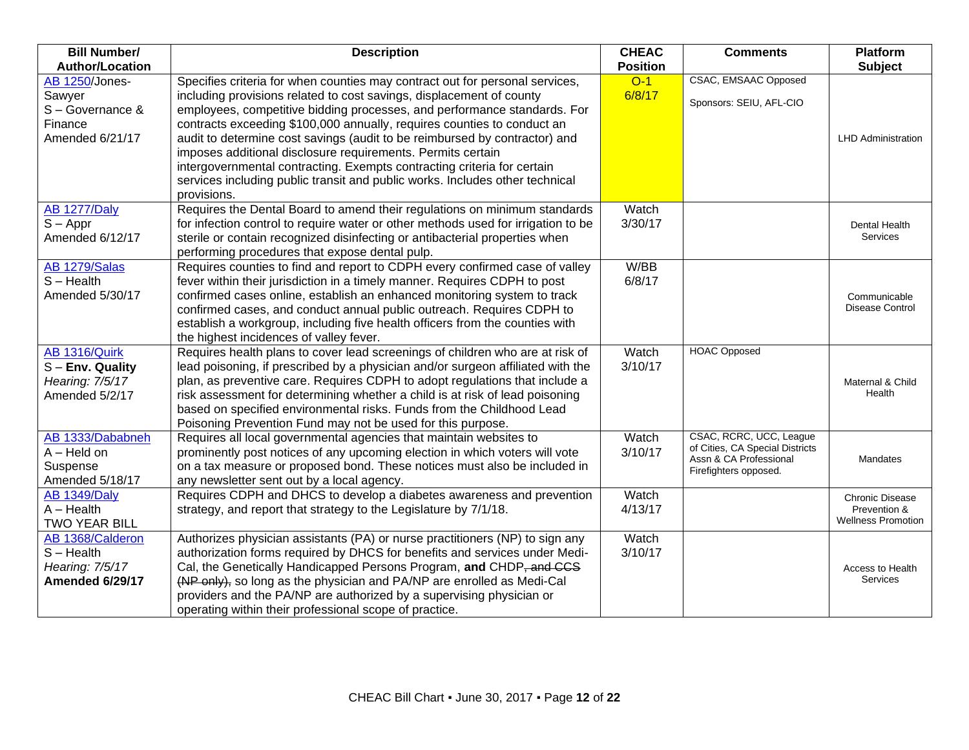| <b>Bill Number/</b>    | <b>Description</b>                                                                                                                | <b>CHEAC</b>    | <b>Comments</b>                 | <b>Platform</b>           |
|------------------------|-----------------------------------------------------------------------------------------------------------------------------------|-----------------|---------------------------------|---------------------------|
| <b>Author/Location</b> |                                                                                                                                   | <b>Position</b> |                                 | <b>Subject</b>            |
| AB 1250/Jones-         | Specifies criteria for when counties may contract out for personal services,                                                      | $O-1$           | <b>CSAC, EMSAAC Opposed</b>     |                           |
| Sawyer                 | including provisions related to cost savings, displacement of county                                                              | 6/8/17          | Sponsors: SEIU, AFL-CIO         |                           |
| S-Governance &         | employees, competitive bidding processes, and performance standards. For                                                          |                 |                                 |                           |
| Finance                | contracts exceeding \$100,000 annually, requires counties to conduct an                                                           |                 |                                 |                           |
| Amended 6/21/17        | audit to determine cost savings (audit to be reimbursed by contractor) and                                                        |                 |                                 | <b>LHD Administration</b> |
|                        | imposes additional disclosure requirements. Permits certain                                                                       |                 |                                 |                           |
|                        | intergovernmental contracting. Exempts contracting criteria for certain                                                           |                 |                                 |                           |
|                        | services including public transit and public works. Includes other technical                                                      |                 |                                 |                           |
|                        | provisions.                                                                                                                       |                 |                                 |                           |
| <b>AB 1277/Daly</b>    | Requires the Dental Board to amend their regulations on minimum standards                                                         | Watch           |                                 |                           |
| $S - Appr$             | for infection control to require water or other methods used for irrigation to be                                                 | 3/30/17         |                                 | Dental Health             |
| Amended 6/12/17        | sterile or contain recognized disinfecting or antibacterial properties when                                                       |                 |                                 | Services                  |
|                        | performing procedures that expose dental pulp.                                                                                    |                 |                                 |                           |
| AB 1279/Salas          | Requires counties to find and report to CDPH every confirmed case of valley                                                       | W/BB            |                                 |                           |
| $S - Health$           | fever within their jurisdiction in a timely manner. Requires CDPH to post                                                         | 6/8/17          |                                 |                           |
| Amended 5/30/17        | confirmed cases online, establish an enhanced monitoring system to track                                                          |                 |                                 | Communicable              |
|                        | confirmed cases, and conduct annual public outreach. Requires CDPH to                                                             |                 |                                 | Disease Control           |
|                        | establish a workgroup, including five health officers from the counties with                                                      |                 |                                 |                           |
|                        | the highest incidences of valley fever.                                                                                           |                 |                                 |                           |
| AB 1316/Quirk          | Requires health plans to cover lead screenings of children who are at risk of                                                     | Watch           | <b>HOAC Opposed</b>             |                           |
| $S$ – Env. Quality     | lead poisoning, if prescribed by a physician and/or surgeon affiliated with the                                                   | 3/10/17         |                                 |                           |
| Hearing: 7/5/17        | plan, as preventive care. Requires CDPH to adopt regulations that include a                                                       |                 |                                 | Maternal & Child          |
| Amended 5/2/17         | risk assessment for determining whether a child is at risk of lead poisoning                                                      |                 |                                 | Health                    |
|                        | based on specified environmental risks. Funds from the Childhood Lead                                                             |                 |                                 |                           |
| AB 1333/Dababneh       | Poisoning Prevention Fund may not be used for this purpose.<br>Requires all local governmental agencies that maintain websites to | Watch           | CSAC, RCRC, UCC, League         |                           |
| $A - Held$ on          | prominently post notices of any upcoming election in which voters will vote                                                       | 3/10/17         | of Cities, CA Special Districts |                           |
| Suspense               | on a tax measure or proposed bond. These notices must also be included in                                                         |                 | Assn & CA Professional          | Mandates                  |
| Amended 5/18/17        | any newsletter sent out by a local agency.                                                                                        |                 | Firefighters opposed.           |                           |
| <b>AB 1349/Daly</b>    | Requires CDPH and DHCS to develop a diabetes awareness and prevention                                                             | Watch           |                                 | <b>Chronic Disease</b>    |
| $A - Health$           | strategy, and report that strategy to the Legislature by 7/1/18.                                                                  | 4/13/17         |                                 | Prevention &              |
| <b>TWO YEAR BILL</b>   |                                                                                                                                   |                 |                                 | <b>Wellness Promotion</b> |
| AB 1368/Calderon       | Authorizes physician assistants (PA) or nurse practitioners (NP) to sign any                                                      | Watch           |                                 |                           |
| $S -$ Health           | authorization forms required by DHCS for benefits and services under Medi-                                                        | 3/10/17         |                                 |                           |
| Hearing: 7/5/17        | Cal, the Genetically Handicapped Persons Program, and CHDP, and CCS                                                               |                 |                                 | Access to Health          |
| Amended 6/29/17        | (NP only), so long as the physician and PA/NP are enrolled as Medi-Cal                                                            |                 |                                 | Services                  |
|                        | providers and the PA/NP are authorized by a supervising physician or                                                              |                 |                                 |                           |
|                        | operating within their professional scope of practice.                                                                            |                 |                                 |                           |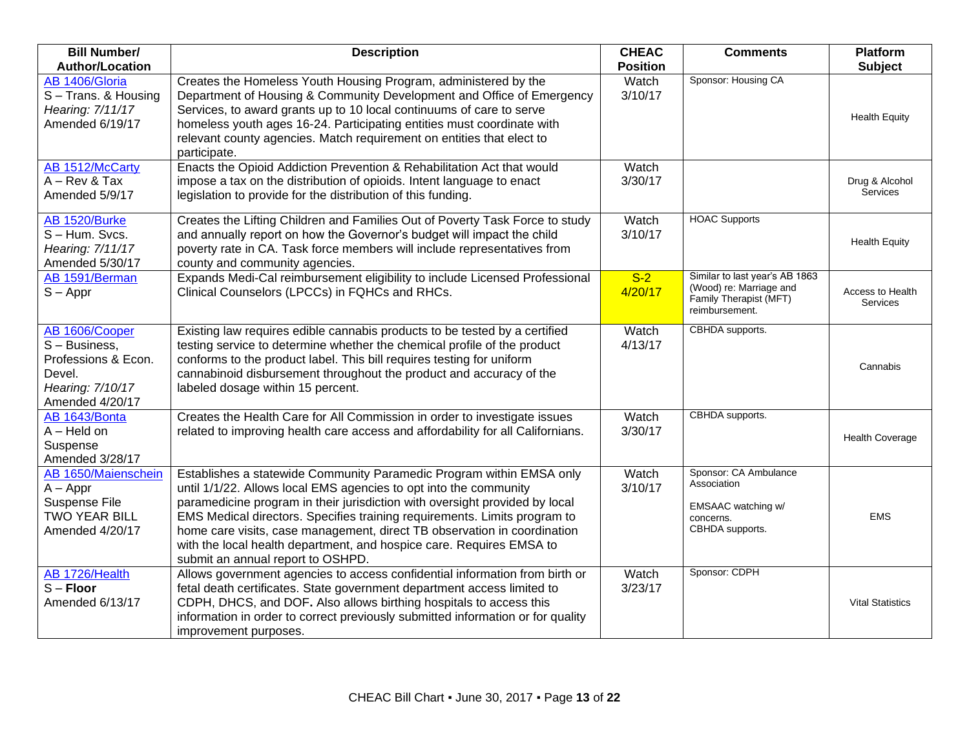| <b>Bill Number/</b><br><b>Author/Location</b>                                                           | <b>Description</b>                                                                                                                                                                                                                                                                                                                                                                                                                                                                             | <b>CHEAC</b><br><b>Position</b> | <b>Comments</b>                                                                                       | <b>Platform</b>                        |
|---------------------------------------------------------------------------------------------------------|------------------------------------------------------------------------------------------------------------------------------------------------------------------------------------------------------------------------------------------------------------------------------------------------------------------------------------------------------------------------------------------------------------------------------------------------------------------------------------------------|---------------------------------|-------------------------------------------------------------------------------------------------------|----------------------------------------|
| AB 1406/Gloria<br>S-Trans. & Housing<br>Hearing: 7/11/17<br>Amended 6/19/17                             | Creates the Homeless Youth Housing Program, administered by the<br>Department of Housing & Community Development and Office of Emergency<br>Services, to award grants up to 10 local continuums of care to serve<br>homeless youth ages 16-24. Participating entities must coordinate with<br>relevant county agencies. Match requirement on entities that elect to                                                                                                                            | Watch<br>3/10/17                | Sponsor: Housing CA                                                                                   | <b>Subject</b><br><b>Health Equity</b> |
| AB 1512/McCarty<br>$A - Rev & Tax$<br>Amended 5/9/17                                                    | participate.<br>Enacts the Opioid Addiction Prevention & Rehabilitation Act that would<br>impose a tax on the distribution of opioids. Intent language to enact<br>legislation to provide for the distribution of this funding.                                                                                                                                                                                                                                                                | Watch<br>3/30/17                |                                                                                                       | Drug & Alcohol<br>Services             |
| <b>AB 1520/Burke</b><br>S-Hum. Svcs.<br>Hearing: 7/11/17<br>Amended 5/30/17                             | Creates the Lifting Children and Families Out of Poverty Task Force to study<br>and annually report on how the Governor's budget will impact the child<br>poverty rate in CA. Task force members will include representatives from<br>county and community agencies.                                                                                                                                                                                                                           | Watch<br>3/10/17                | <b>HOAC Supports</b>                                                                                  | <b>Health Equity</b>                   |
| AB 1591/Berman<br>$S - Appr$                                                                            | Expands Medi-Cal reimbursement eligibility to include Licensed Professional<br>Clinical Counselors (LPCCs) in FQHCs and RHCs.                                                                                                                                                                                                                                                                                                                                                                  | $S-2$<br>4/20/17                | Similar to last year's AB 1863<br>(Wood) re: Marriage and<br>Family Therapist (MFT)<br>reimbursement. | Access to Health<br><b>Services</b>    |
| AB 1606/Cooper<br>S - Business,<br>Professions & Econ.<br>Devel.<br>Hearing: 7/10/17<br>Amended 4/20/17 | Existing law requires edible cannabis products to be tested by a certified<br>testing service to determine whether the chemical profile of the product<br>conforms to the product label. This bill requires testing for uniform<br>cannabinoid disbursement throughout the product and accuracy of the<br>labeled dosage within 15 percent.                                                                                                                                                    | Watch<br>4/13/17                | CBHDA supports.                                                                                       | Cannabis                               |
| AB 1643/Bonta<br>$A - Held$ on<br>Suspense<br>Amended 3/28/17                                           | Creates the Health Care for All Commission in order to investigate issues<br>related to improving health care access and affordability for all Californians.                                                                                                                                                                                                                                                                                                                                   | Watch<br>3/30/17                | CBHDA supports.                                                                                       | <b>Health Coverage</b>                 |
| AB 1650/Maienschein<br>$A - Appr$<br>Suspense File<br>TWO YEAR BILL<br>Amended 4/20/17                  | Establishes a statewide Community Paramedic Program within EMSA only<br>until 1/1/22. Allows local EMS agencies to opt into the community<br>paramedicine program in their jurisdiction with oversight provided by local<br>EMS Medical directors. Specifies training requirements. Limits program to<br>home care visits, case management, direct TB observation in coordination<br>with the local health department, and hospice care. Requires EMSA to<br>submit an annual report to OSHPD. | Watch<br>3/10/17                | Sponsor: CA Ambulance<br>Association<br>EMSAAC watching w/<br>concerns.<br>CBHDA supports.            | <b>EMS</b>                             |
| AB 1726/Health<br>$S -$ Floor<br>Amended 6/13/17                                                        | Allows government agencies to access confidential information from birth or<br>fetal death certificates. State government department access limited to<br>CDPH, DHCS, and DOF. Also allows birthing hospitals to access this<br>information in order to correct previously submitted information or for quality<br>improvement purposes.                                                                                                                                                       | Watch<br>3/23/17                | Sponsor: CDPH                                                                                         | <b>Vital Statistics</b>                |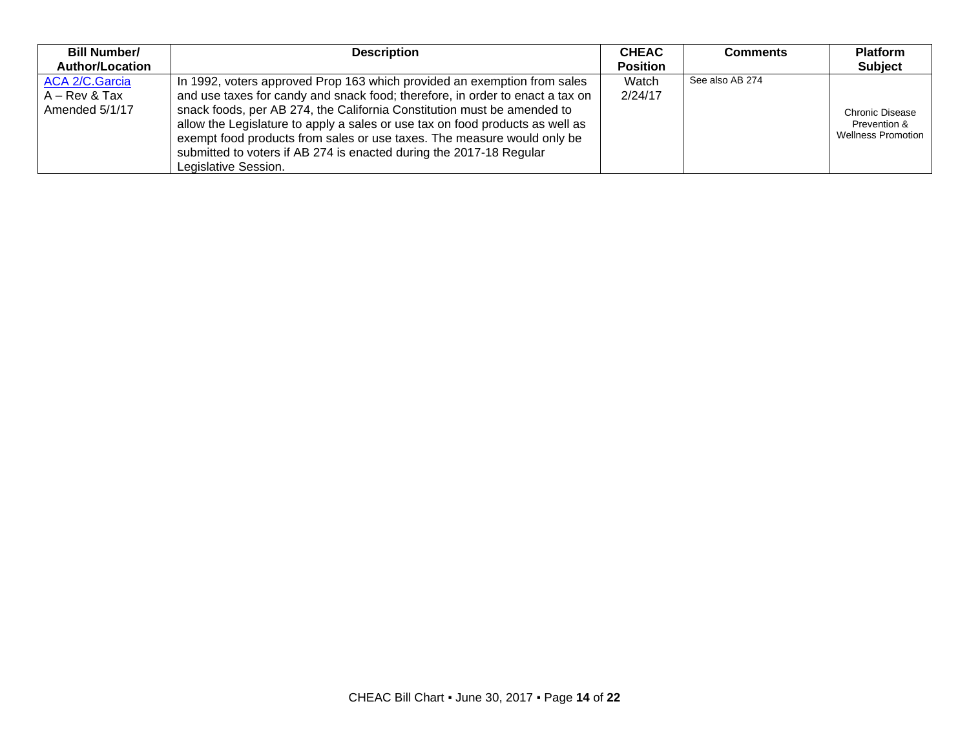| <b>Bill Number/</b>                                        | <b>Description</b>                                                                                                                                                                                                                                                                                                                                                                                                                                                      | <b>CHEAC</b>     | <b>Comments</b> | <b>Platform</b>                                                     |
|------------------------------------------------------------|-------------------------------------------------------------------------------------------------------------------------------------------------------------------------------------------------------------------------------------------------------------------------------------------------------------------------------------------------------------------------------------------------------------------------------------------------------------------------|------------------|-----------------|---------------------------------------------------------------------|
| <b>Author/Location</b>                                     |                                                                                                                                                                                                                                                                                                                                                                                                                                                                         | <b>Position</b>  |                 | <b>Subject</b>                                                      |
| <b>ACA 2/C.Garcia</b><br>$A - Rev & Tax$<br>Amended 5/1/17 | In 1992, voters approved Prop 163 which provided an exemption from sales<br>and use taxes for candy and snack food; therefore, in order to enact a tax on<br>snack foods, per AB 274, the California Constitution must be amended to<br>allow the Legislature to apply a sales or use tax on food products as well as<br>exempt food products from sales or use taxes. The measure would only be<br>submitted to voters if AB 274 is enacted during the 2017-18 Regular | Watch<br>2/24/17 | See also AB 274 | <b>Chronic Disease</b><br>Prevention &<br><b>Wellness Promotion</b> |
|                                                            | Legislative Session.                                                                                                                                                                                                                                                                                                                                                                                                                                                    |                  |                 |                                                                     |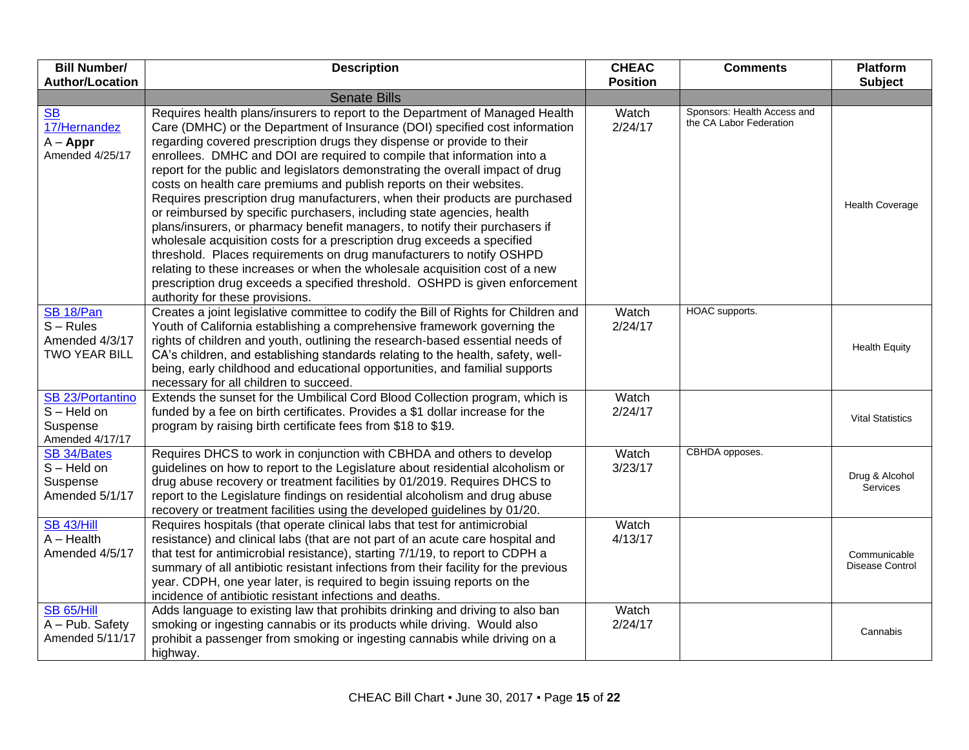| <b>Bill Number/</b>                                                | <b>Description</b>                                                                                                                                                                                                                                                                                                                                                                                                                                                                                                                                                                                                                                                                                                                                                                                                                                                                                                                                                                                                                                                     | <b>CHEAC</b>     | <b>Comments</b>                                        | <b>Platform</b>                   |
|--------------------------------------------------------------------|------------------------------------------------------------------------------------------------------------------------------------------------------------------------------------------------------------------------------------------------------------------------------------------------------------------------------------------------------------------------------------------------------------------------------------------------------------------------------------------------------------------------------------------------------------------------------------------------------------------------------------------------------------------------------------------------------------------------------------------------------------------------------------------------------------------------------------------------------------------------------------------------------------------------------------------------------------------------------------------------------------------------------------------------------------------------|------------------|--------------------------------------------------------|-----------------------------------|
| <b>Author/Location</b>                                             |                                                                                                                                                                                                                                                                                                                                                                                                                                                                                                                                                                                                                                                                                                                                                                                                                                                                                                                                                                                                                                                                        | <b>Position</b>  |                                                        | <b>Subject</b>                    |
|                                                                    | <b>Senate Bills</b>                                                                                                                                                                                                                                                                                                                                                                                                                                                                                                                                                                                                                                                                                                                                                                                                                                                                                                                                                                                                                                                    |                  |                                                        |                                   |
| <b>SB</b><br>17/Hernandez<br>$A - Appr$<br>Amended 4/25/17         | Requires health plans/insurers to report to the Department of Managed Health<br>Care (DMHC) or the Department of Insurance (DOI) specified cost information<br>regarding covered prescription drugs they dispense or provide to their<br>enrollees. DMHC and DOI are required to compile that information into a<br>report for the public and legislators demonstrating the overall impact of drug<br>costs on health care premiums and publish reports on their websites.<br>Requires prescription drug manufacturers, when their products are purchased<br>or reimbursed by specific purchasers, including state agencies, health<br>plans/insurers, or pharmacy benefit managers, to notify their purchasers if<br>wholesale acquisition costs for a prescription drug exceeds a specified<br>threshold. Places requirements on drug manufacturers to notify OSHPD<br>relating to these increases or when the wholesale acquisition cost of a new<br>prescription drug exceeds a specified threshold. OSHPD is given enforcement<br>authority for these provisions. | Watch<br>2/24/17 | Sponsors: Health Access and<br>the CA Labor Federation | <b>Health Coverage</b>            |
| SB 18/Pan<br>$S - Rules$<br>Amended 4/3/17<br><b>TWO YEAR BILL</b> | Creates a joint legislative committee to codify the Bill of Rights for Children and<br>Youth of California establishing a comprehensive framework governing the<br>rights of children and youth, outlining the research-based essential needs of<br>CA's children, and establishing standards relating to the health, safety, well-<br>being, early childhood and educational opportunities, and familial supports<br>necessary for all children to succeed.                                                                                                                                                                                                                                                                                                                                                                                                                                                                                                                                                                                                           | Watch<br>2/24/17 | HOAC supports.                                         | <b>Health Equity</b>              |
| SB 23/Portantino<br>$S - Held$ on<br>Suspense<br>Amended 4/17/17   | Extends the sunset for the Umbilical Cord Blood Collection program, which is<br>funded by a fee on birth certificates. Provides a \$1 dollar increase for the<br>program by raising birth certificate fees from \$18 to \$19.                                                                                                                                                                                                                                                                                                                                                                                                                                                                                                                                                                                                                                                                                                                                                                                                                                          | Watch<br>2/24/17 |                                                        | <b>Vital Statistics</b>           |
| SB 34/Bates<br>$S - Held$ on<br>Suspense<br>Amended 5/1/17         | Requires DHCS to work in conjunction with CBHDA and others to develop<br>guidelines on how to report to the Legislature about residential alcoholism or<br>drug abuse recovery or treatment facilities by 01/2019. Requires DHCS to<br>report to the Legislature findings on residential alcoholism and drug abuse<br>recovery or treatment facilities using the developed guidelines by 01/20.                                                                                                                                                                                                                                                                                                                                                                                                                                                                                                                                                                                                                                                                        | Watch<br>3/23/17 | CBHDA opposes.                                         | Drug & Alcohol<br><b>Services</b> |
| <b>SB 43/Hill</b><br>$A - Health$<br>Amended 4/5/17                | Requires hospitals (that operate clinical labs that test for antimicrobial<br>resistance) and clinical labs (that are not part of an acute care hospital and<br>that test for antimicrobial resistance), starting 7/1/19, to report to CDPH a<br>summary of all antibiotic resistant infections from their facility for the previous<br>year. CDPH, one year later, is required to begin issuing reports on the<br>incidence of antibiotic resistant infections and deaths.                                                                                                                                                                                                                                                                                                                                                                                                                                                                                                                                                                                            | Watch<br>4/13/17 |                                                        | Communicable<br>Disease Control   |
| <b>SB 65/Hill</b><br>A - Pub. Safety<br>Amended 5/11/17            | Adds language to existing law that prohibits drinking and driving to also ban<br>smoking or ingesting cannabis or its products while driving. Would also<br>prohibit a passenger from smoking or ingesting cannabis while driving on a<br>highway.                                                                                                                                                                                                                                                                                                                                                                                                                                                                                                                                                                                                                                                                                                                                                                                                                     | Watch<br>2/24/17 |                                                        | Cannabis                          |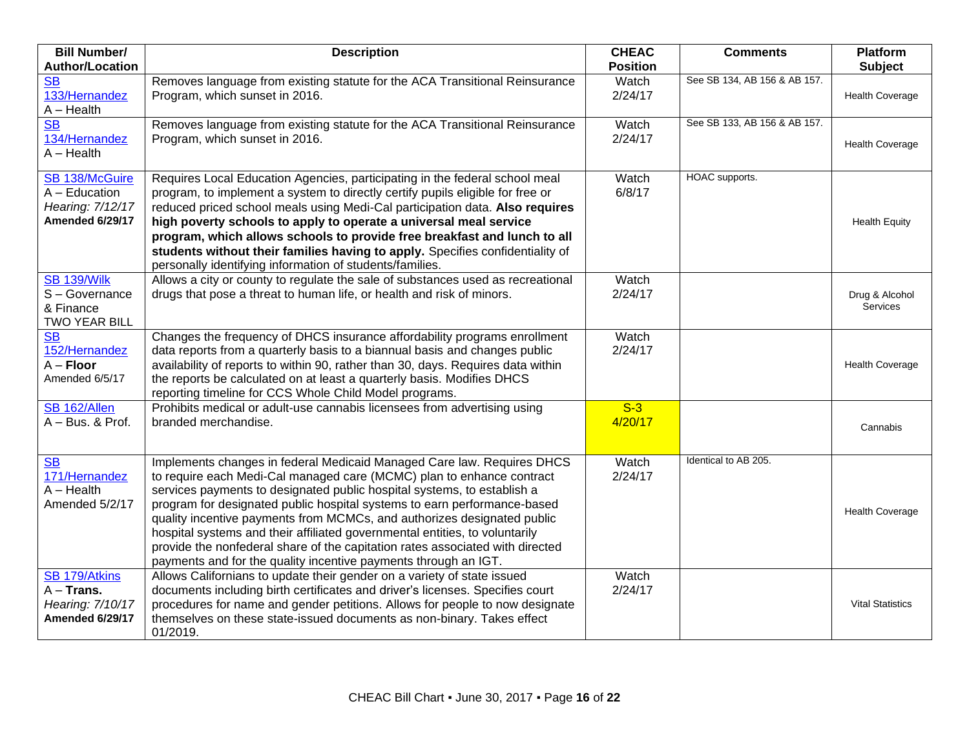| <b>Bill Number/</b>                                                      | <b>Description</b>                                                                                                                                                                                                                                                                                                                                                                                                                                                                                                                                                                                                   | <b>CHEAC</b>     | <b>Comments</b>              | <b>Platform</b>            |
|--------------------------------------------------------------------------|----------------------------------------------------------------------------------------------------------------------------------------------------------------------------------------------------------------------------------------------------------------------------------------------------------------------------------------------------------------------------------------------------------------------------------------------------------------------------------------------------------------------------------------------------------------------------------------------------------------------|------------------|------------------------------|----------------------------|
| <b>Author/Location</b>                                                   |                                                                                                                                                                                                                                                                                                                                                                                                                                                                                                                                                                                                                      | <b>Position</b>  |                              | <b>Subject</b>             |
| <b>SB</b><br>133/Hernandez<br>$A - Health$                               | Removes language from existing statute for the ACA Transitional Reinsurance<br>Program, which sunset in 2016.                                                                                                                                                                                                                                                                                                                                                                                                                                                                                                        | Watch<br>2/24/17 | See SB 134, AB 156 & AB 157. | <b>Health Coverage</b>     |
| <b>SB</b><br>134/Hernandez<br>$A - Health$                               | Removes language from existing statute for the ACA Transitional Reinsurance<br>Program, which sunset in 2016.                                                                                                                                                                                                                                                                                                                                                                                                                                                                                                        | Watch<br>2/24/17 | See SB 133, AB 156 & AB 157. | <b>Health Coverage</b>     |
| SB 138/McGuire<br>$A - Education$<br>Hearing: 7/12/17<br>Amended 6/29/17 | Requires Local Education Agencies, participating in the federal school meal<br>program, to implement a system to directly certify pupils eligible for free or<br>reduced priced school meals using Medi-Cal participation data. Also requires<br>high poverty schools to apply to operate a universal meal service<br>program, which allows schools to provide free breakfast and lunch to all<br>students without their families having to apply. Specifies confidentiality of<br>personally identifying information of students/families.                                                                          | Watch<br>6/8/17  | HOAC supports.               | <b>Health Equity</b>       |
| <b>SB 139/Wilk</b><br>S-Governance<br>& Finance<br>TWO YEAR BILL         | Allows a city or county to regulate the sale of substances used as recreational<br>drugs that pose a threat to human life, or health and risk of minors.                                                                                                                                                                                                                                                                                                                                                                                                                                                             | Watch<br>2/24/17 |                              | Drug & Alcohol<br>Services |
| $\overline{\text{SB}}$<br>152/Hernandez<br>$A -$ Floor<br>Amended 6/5/17 | Changes the frequency of DHCS insurance affordability programs enrollment<br>data reports from a quarterly basis to a biannual basis and changes public<br>availability of reports to within 90, rather than 30, days. Requires data within<br>the reports be calculated on at least a quarterly basis. Modifies DHCS<br>reporting timeline for CCS Whole Child Model programs.                                                                                                                                                                                                                                      | Watch<br>2/24/17 |                              | <b>Health Coverage</b>     |
| SB 162/Allen<br>$A - Bus.$ & Prof.                                       | Prohibits medical or adult-use cannabis licensees from advertising using<br>branded merchandise.                                                                                                                                                                                                                                                                                                                                                                                                                                                                                                                     | $S-3$<br>4/20/17 |                              | Cannabis                   |
| S <sub>B</sub><br>171/Hernandez<br>$A - Health$<br>Amended 5/2/17        | Implements changes in federal Medicaid Managed Care law. Requires DHCS<br>to require each Medi-Cal managed care (MCMC) plan to enhance contract<br>services payments to designated public hospital systems, to establish a<br>program for designated public hospital systems to earn performance-based<br>quality incentive payments from MCMCs, and authorizes designated public<br>hospital systems and their affiliated governmental entities, to voluntarily<br>provide the nonfederal share of the capitation rates associated with directed<br>payments and for the quality incentive payments through an IGT. | Watch<br>2/24/17 | Identical to AB 205.         | <b>Health Coverage</b>     |
| SB 179/Atkins<br>$A -$ Trans.<br>Hearing: 7/10/17<br>Amended 6/29/17     | Allows Californians to update their gender on a variety of state issued<br>documents including birth certificates and driver's licenses. Specifies court<br>procedures for name and gender petitions. Allows for people to now designate<br>themselves on these state-issued documents as non-binary. Takes effect<br>01/2019.                                                                                                                                                                                                                                                                                       | Watch<br>2/24/17 |                              | <b>Vital Statistics</b>    |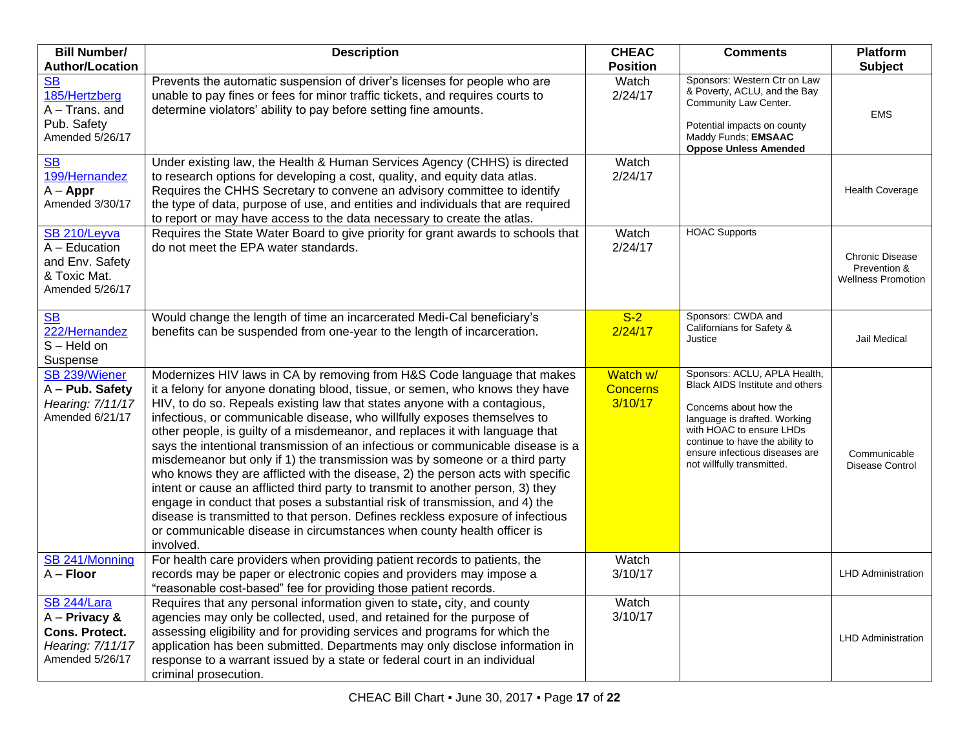| <b>Bill Number/</b>                                                                            | <b>Description</b>                                                                                                                                                                                                                                                                                                                                                                                                                                                                                                                                                                                                                                                                                                                                                                                                                                                                                                                                                                               | <b>CHEAC</b>                           | <b>Comments</b>                                                                                                                                                                                                                                          | <b>Platform</b>                                                     |
|------------------------------------------------------------------------------------------------|--------------------------------------------------------------------------------------------------------------------------------------------------------------------------------------------------------------------------------------------------------------------------------------------------------------------------------------------------------------------------------------------------------------------------------------------------------------------------------------------------------------------------------------------------------------------------------------------------------------------------------------------------------------------------------------------------------------------------------------------------------------------------------------------------------------------------------------------------------------------------------------------------------------------------------------------------------------------------------------------------|----------------------------------------|----------------------------------------------------------------------------------------------------------------------------------------------------------------------------------------------------------------------------------------------------------|---------------------------------------------------------------------|
| <b>Author/Location</b>                                                                         |                                                                                                                                                                                                                                                                                                                                                                                                                                                                                                                                                                                                                                                                                                                                                                                                                                                                                                                                                                                                  | <b>Position</b>                        |                                                                                                                                                                                                                                                          | <b>Subject</b>                                                      |
| <b>SB</b><br>185/Hertzberg<br>$A - Trans.$ and<br>Pub. Safety<br>Amended 5/26/17               | Prevents the automatic suspension of driver's licenses for people who are<br>unable to pay fines or fees for minor traffic tickets, and requires courts to<br>determine violators' ability to pay before setting fine amounts.                                                                                                                                                                                                                                                                                                                                                                                                                                                                                                                                                                                                                                                                                                                                                                   | Watch<br>2/24/17                       | Sponsors: Western Ctr on Law<br>& Poverty, ACLU, and the Bay<br>Community Law Center.<br>Potential impacts on county<br>Maddy Funds; EMSAAC<br><b>Oppose Unless Amended</b>                                                                              | <b>EMS</b>                                                          |
| <b>SB</b><br>199/Hernandez<br>$A - Appr$<br>Amended 3/30/17                                    | Under existing law, the Health & Human Services Agency (CHHS) is directed<br>to research options for developing a cost, quality, and equity data atlas.<br>Requires the CHHS Secretary to convene an advisory committee to identify<br>the type of data, purpose of use, and entities and individuals that are required<br>to report or may have access to the data necessary to create the atlas.                                                                                                                                                                                                                                                                                                                                                                                                                                                                                                                                                                                               | <b>Watch</b><br>2/24/17                |                                                                                                                                                                                                                                                          | <b>Health Coverage</b>                                              |
| SB 210/Leyva<br>$A - Education$<br>and Env. Safety<br>& Toxic Mat.<br>Amended 5/26/17          | Requires the State Water Board to give priority for grant awards to schools that<br>do not meet the EPA water standards.                                                                                                                                                                                                                                                                                                                                                                                                                                                                                                                                                                                                                                                                                                                                                                                                                                                                         | Watch<br>2/24/17                       | <b>HOAC Supports</b>                                                                                                                                                                                                                                     | <b>Chronic Disease</b><br>Prevention &<br><b>Wellness Promotion</b> |
| S <sub>B</sub><br>222/Hernandez<br>$S - Held$ on<br>Suspense                                   | Would change the length of time an incarcerated Medi-Cal beneficiary's<br>benefits can be suspended from one-year to the length of incarceration.                                                                                                                                                                                                                                                                                                                                                                                                                                                                                                                                                                                                                                                                                                                                                                                                                                                | $S-2$<br>2/24/17                       | Sponsors: CWDA and<br>Californians for Safety &<br>Justice                                                                                                                                                                                               | Jail Medical                                                        |
| SB 239/Wiener<br>A - Pub. Safety<br>Hearing: 7/11/17<br>Amended 6/21/17                        | Modernizes HIV laws in CA by removing from H&S Code language that makes<br>it a felony for anyone donating blood, tissue, or semen, who knows they have<br>HIV, to do so. Repeals existing law that states anyone with a contagious,<br>infectious, or communicable disease, who willfully exposes themselves to<br>other people, is guilty of a misdemeanor, and replaces it with language that<br>says the intentional transmission of an infectious or communicable disease is a<br>misdemeanor but only if 1) the transmission was by someone or a third party<br>who knows they are afflicted with the disease, 2) the person acts with specific<br>intent or cause an afflicted third party to transmit to another person, 3) they<br>engage in conduct that poses a substantial risk of transmission, and 4) the<br>disease is transmitted to that person. Defines reckless exposure of infectious<br>or communicable disease in circumstances when county health officer is<br>involved. | Watch w/<br><b>Concerns</b><br>3/10/17 | Sponsors: ACLU, APLA Health,<br>Black AIDS Institute and others<br>Concerns about how the<br>language is drafted. Working<br>with HOAC to ensure LHDs<br>continue to have the ability to<br>ensure infectious diseases are<br>not willfully transmitted. | Communicable<br>Disease Control                                     |
| SB 241/Monning<br>$A -$ Floor                                                                  | For health care providers when providing patient records to patients, the<br>records may be paper or electronic copies and providers may impose a<br>"reasonable cost-based" fee for providing those patient records.                                                                                                                                                                                                                                                                                                                                                                                                                                                                                                                                                                                                                                                                                                                                                                            | Watch<br>3/10/17                       |                                                                                                                                                                                                                                                          | <b>LHD Administration</b>                                           |
| SB 244/Lara<br>$A -$ Privacy &<br><b>Cons. Protect.</b><br>Hearing: 7/11/17<br>Amended 5/26/17 | Requires that any personal information given to state, city, and county<br>agencies may only be collected, used, and retained for the purpose of<br>assessing eligibility and for providing services and programs for which the<br>application has been submitted. Departments may only disclose information in<br>response to a warrant issued by a state or federal court in an individual<br>criminal prosecution.                                                                                                                                                                                                                                                                                                                                                                                                                                                                                                                                                                            | Watch<br>3/10/17                       |                                                                                                                                                                                                                                                          | <b>LHD Administration</b>                                           |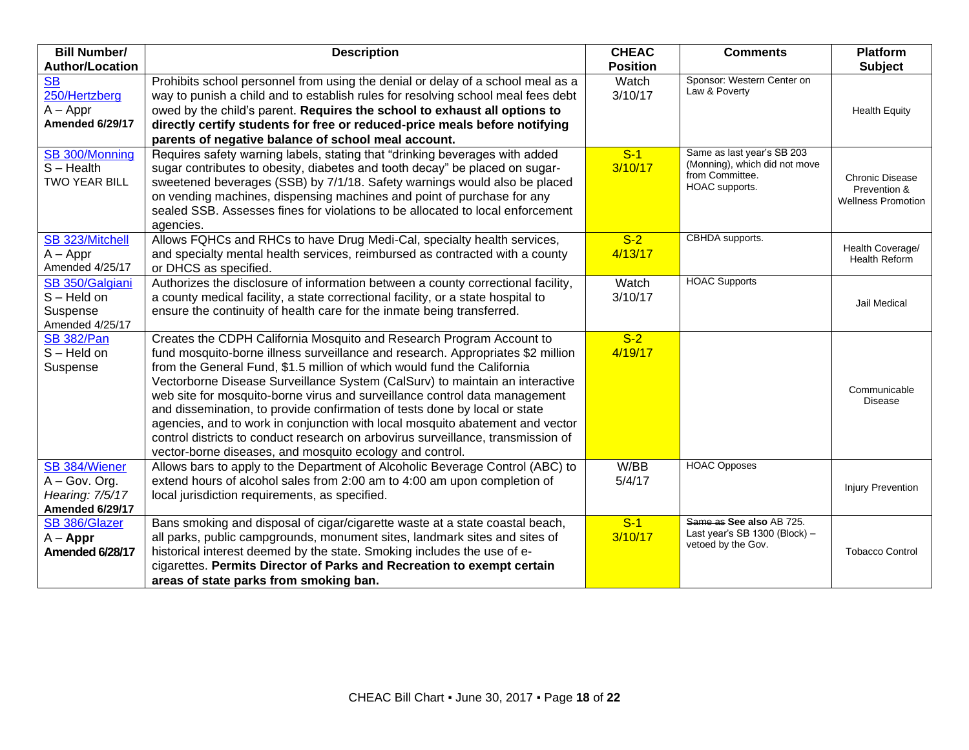| <b>Bill Number/</b>                | <b>Description</b>                                                                                                                                                  | <b>CHEAC</b>     | <b>Comments</b>                             | Platform                                 |
|------------------------------------|---------------------------------------------------------------------------------------------------------------------------------------------------------------------|------------------|---------------------------------------------|------------------------------------------|
| <b>Author/Location</b>             |                                                                                                                                                                     | <b>Position</b>  |                                             | <b>Subject</b>                           |
| <b>SB</b><br>250/Hertzberg         | Prohibits school personnel from using the denial or delay of a school meal as a<br>way to punish a child and to establish rules for resolving school meal fees debt | Watch<br>3/10/17 | Sponsor: Western Center on<br>Law & Poverty |                                          |
| $A - Appr$                         | owed by the child's parent. Requires the school to exhaust all options to                                                                                           |                  |                                             | <b>Health Equity</b>                     |
| Amended 6/29/17                    | directly certify students for free or reduced-price meals before notifying                                                                                          |                  |                                             |                                          |
|                                    | parents of negative balance of school meal account.                                                                                                                 |                  |                                             |                                          |
| SB 300/Monning                     | Requires safety warning labels, stating that "drinking beverages with added                                                                                         | $S-1$            | Same as last year's SB 203                  |                                          |
| $S - Health$                       | sugar contributes to obesity, diabetes and tooth decay" be placed on sugar-                                                                                         | 3/10/17          | (Monning), which did not move               |                                          |
| <b>TWO YEAR BILL</b>               | sweetened beverages (SSB) by 7/1/18. Safety warnings would also be placed                                                                                           |                  | from Committee.                             | <b>Chronic Disease</b>                   |
|                                    | on vending machines, dispensing machines and point of purchase for any                                                                                              |                  | HOAC supports.                              | Prevention &                             |
|                                    | sealed SSB. Assesses fines for violations to be allocated to local enforcement                                                                                      |                  |                                             | <b>Wellness Promotion</b>                |
|                                    | agencies.                                                                                                                                                           |                  |                                             |                                          |
| SB 323/Mitchell                    | Allows FQHCs and RHCs to have Drug Medi-Cal, specialty health services,                                                                                             | $S-2$            | CBHDA supports.                             |                                          |
| $A - Appr$                         | and specialty mental health services, reimbursed as contracted with a county                                                                                        | 4/13/17          |                                             | Health Coverage/<br><b>Health Reform</b> |
| Amended 4/25/17                    | or DHCS as specified.                                                                                                                                               |                  |                                             |                                          |
| SB 350/Galgiani                    | Authorizes the disclosure of information between a county correctional facility,                                                                                    | Watch            | <b>HOAC Supports</b>                        |                                          |
| $S - Held$ on                      | a county medical facility, a state correctional facility, or a state hospital to                                                                                    | 3/10/17          |                                             | Jail Medical                             |
| Suspense                           | ensure the continuity of health care for the inmate being transferred.                                                                                              |                  |                                             |                                          |
| Amended 4/25/17                    |                                                                                                                                                                     | $S-2$            |                                             |                                          |
| <b>SB 382/Pan</b><br>$S - Held$ on | Creates the CDPH California Mosquito and Research Program Account to<br>fund mosquito-borne illness surveillance and research. Appropriates \$2 million             | 4/19/17          |                                             |                                          |
| Suspense                           | from the General Fund, \$1.5 million of which would fund the California                                                                                             |                  |                                             |                                          |
|                                    | Vectorborne Disease Surveillance System (CalSurv) to maintain an interactive                                                                                        |                  |                                             |                                          |
|                                    | web site for mosquito-borne virus and surveillance control data management                                                                                          |                  |                                             | Communicable                             |
|                                    | and dissemination, to provide confirmation of tests done by local or state                                                                                          |                  |                                             | <b>Disease</b>                           |
|                                    | agencies, and to work in conjunction with local mosquito abatement and vector                                                                                       |                  |                                             |                                          |
|                                    | control districts to conduct research on arbovirus surveillance, transmission of                                                                                    |                  |                                             |                                          |
|                                    | vector-borne diseases, and mosquito ecology and control.                                                                                                            |                  |                                             |                                          |
| SB 384/Wiener                      | Allows bars to apply to the Department of Alcoholic Beverage Control (ABC) to                                                                                       | W/BB             | <b>HOAC Opposes</b>                         |                                          |
| $A - Gov.$ Org.                    | extend hours of alcohol sales from 2:00 am to 4:00 am upon completion of                                                                                            | 5/4/17           |                                             | Injury Prevention                        |
| Hearing: 7/5/17                    | local jurisdiction requirements, as specified.                                                                                                                      |                  |                                             |                                          |
| Amended 6/29/17                    |                                                                                                                                                                     |                  | Same as See also AB 725.                    |                                          |
| SB 386/Glazer                      | Bans smoking and disposal of cigar/cigarette waste at a state coastal beach,<br>all parks, public campgrounds, monument sites, landmark sites and sites of          | $S-1$<br>3/10/17 | Last year's SB 1300 (Block) -               |                                          |
| $A - Appr$                         | historical interest deemed by the state. Smoking includes the use of e-                                                                                             |                  | vetoed by the Gov.                          | <b>Tobacco Control</b>                   |
| Amended 6/28/17                    | cigarettes. Permits Director of Parks and Recreation to exempt certain                                                                                              |                  |                                             |                                          |
|                                    | areas of state parks from smoking ban.                                                                                                                              |                  |                                             |                                          |
|                                    |                                                                                                                                                                     |                  |                                             |                                          |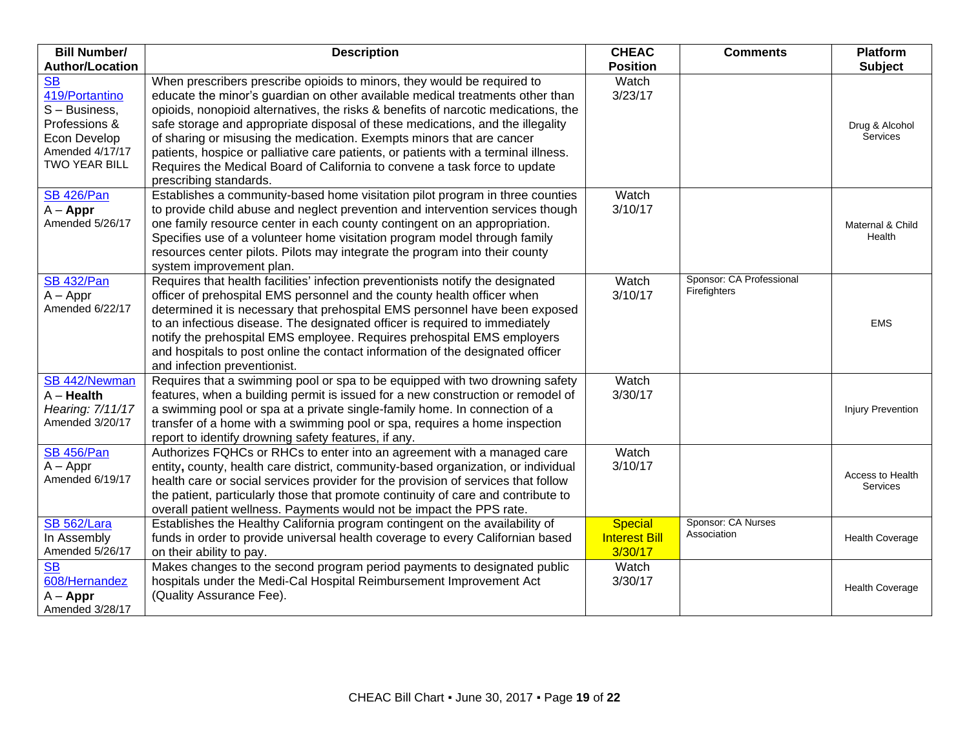| <b>Bill Number/</b>                                                                                                  | <b>Description</b>                                                                                                                                                                                                                                                                                                                                                                                                                                                                                                                                                                                       | <b>CHEAC</b>                                      | <b>Comments</b>                          | <b>Platform</b>              |
|----------------------------------------------------------------------------------------------------------------------|----------------------------------------------------------------------------------------------------------------------------------------------------------------------------------------------------------------------------------------------------------------------------------------------------------------------------------------------------------------------------------------------------------------------------------------------------------------------------------------------------------------------------------------------------------------------------------------------------------|---------------------------------------------------|------------------------------------------|------------------------------|
| <b>Author/Location</b>                                                                                               |                                                                                                                                                                                                                                                                                                                                                                                                                                                                                                                                                                                                          | <b>Position</b>                                   |                                          | <b>Subject</b>               |
| <b>SB</b><br>419/Portantino<br>$S - Business$ .<br>Professions &<br>Econ Develop<br>Amended 4/17/17<br>TWO YEAR BILL | When prescribers prescribe opioids to minors, they would be required to<br>educate the minor's guardian on other available medical treatments other than<br>opioids, nonopioid alternatives, the risks & benefits of narcotic medications, the<br>safe storage and appropriate disposal of these medications, and the illegality<br>of sharing or misusing the medication. Exempts minors that are cancer<br>patients, hospice or palliative care patients, or patients with a terminal illness.<br>Requires the Medical Board of California to convene a task force to update<br>prescribing standards. | Watch<br>3/23/17                                  |                                          | Drug & Alcohol<br>Services   |
| <b>SB 426/Pan</b><br>$A - Appr$<br>Amended 5/26/17                                                                   | Establishes a community-based home visitation pilot program in three counties<br>to provide child abuse and neglect prevention and intervention services though<br>one family resource center in each county contingent on an appropriation.<br>Specifies use of a volunteer home visitation program model through family<br>resources center pilots. Pilots may integrate the program into their county<br>system improvement plan.                                                                                                                                                                     | Watch<br>3/10/17                                  |                                          | Maternal & Child<br>Health   |
| <b>SB 432/Pan</b><br>$A - Appr$<br>Amended 6/22/17                                                                   | Requires that health facilities' infection preventionists notify the designated<br>officer of prehospital EMS personnel and the county health officer when<br>determined it is necessary that prehospital EMS personnel have been exposed<br>to an infectious disease. The designated officer is required to immediately<br>notify the prehospital EMS employee. Requires prehospital EMS employers<br>and hospitals to post online the contact information of the designated officer<br>and infection preventionist.                                                                                    | Watch<br>3/10/17                                  | Sponsor: CA Professional<br>Firefighters | <b>EMS</b>                   |
| SB 442/Newman<br>$A -$ Health<br>Hearing: 7/11/17<br>Amended 3/20/17                                                 | Requires that a swimming pool or spa to be equipped with two drowning safety<br>features, when a building permit is issued for a new construction or remodel of<br>a swimming pool or spa at a private single-family home. In connection of a<br>transfer of a home with a swimming pool or spa, requires a home inspection<br>report to identify drowning safety features, if any.                                                                                                                                                                                                                      | Watch<br>3/30/17                                  |                                          | Injury Prevention            |
| <b>SB 456/Pan</b><br>$A - Appr$<br>Amended 6/19/17                                                                   | Authorizes FQHCs or RHCs to enter into an agreement with a managed care<br>entity, county, health care district, community-based organization, or individual<br>health care or social services provider for the provision of services that follow<br>the patient, particularly those that promote continuity of care and contribute to<br>overall patient wellness. Payments would not be impact the PPS rate.                                                                                                                                                                                           | Watch<br>3/10/17                                  |                                          | Access to Health<br>Services |
| <b>SB 562/Lara</b><br>In Assembly<br>Amended 5/26/17                                                                 | Establishes the Healthy California program contingent on the availability of<br>funds in order to provide universal health coverage to every Californian based<br>on their ability to pay.                                                                                                                                                                                                                                                                                                                                                                                                               | <b>Special</b><br><b>Interest Bill</b><br>3/30/17 | Sponsor: CA Nurses<br>Association        | <b>Health Coverage</b>       |
| <b>SB</b><br>608/Hernandez<br>$A - Appr$<br>Amended 3/28/17                                                          | Makes changes to the second program period payments to designated public<br>hospitals under the Medi-Cal Hospital Reimbursement Improvement Act<br>(Quality Assurance Fee).                                                                                                                                                                                                                                                                                                                                                                                                                              | Watch<br>3/30/17                                  |                                          | <b>Health Coverage</b>       |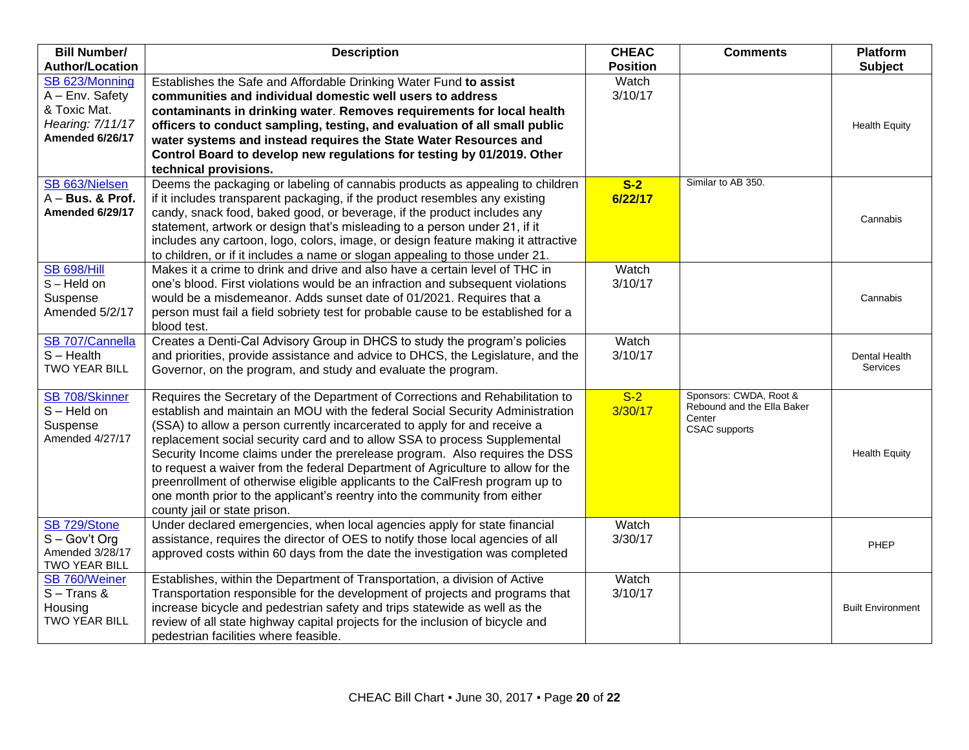| <b>Bill Number/</b>                                                                      | <b>Description</b>                                                                                                                                                                                                                                                                                                                                                                                                                                                                                                                                                                                                                                                                     | <b>CHEAC</b>     | <b>Comments</b>                                                                        | <b>Platform</b>                  |
|------------------------------------------------------------------------------------------|----------------------------------------------------------------------------------------------------------------------------------------------------------------------------------------------------------------------------------------------------------------------------------------------------------------------------------------------------------------------------------------------------------------------------------------------------------------------------------------------------------------------------------------------------------------------------------------------------------------------------------------------------------------------------------------|------------------|----------------------------------------------------------------------------------------|----------------------------------|
| <b>Author/Location</b>                                                                   |                                                                                                                                                                                                                                                                                                                                                                                                                                                                                                                                                                                                                                                                                        | <b>Position</b>  |                                                                                        | <b>Subject</b>                   |
| SB 623/Monning<br>A - Env. Safety<br>& Toxic Mat.<br>Hearing: 7/11/17<br>Amended 6/26/17 | Establishes the Safe and Affordable Drinking Water Fund to assist<br>communities and individual domestic well users to address<br>contaminants in drinking water. Removes requirements for local health<br>officers to conduct sampling, testing, and evaluation of all small public<br>water systems and instead requires the State Water Resources and                                                                                                                                                                                                                                                                                                                               | Watch<br>3/10/17 |                                                                                        | <b>Health Equity</b>             |
|                                                                                          | Control Board to develop new regulations for testing by 01/2019. Other<br>technical provisions.                                                                                                                                                                                                                                                                                                                                                                                                                                                                                                                                                                                        |                  |                                                                                        |                                  |
| SB 663/Nielsen<br>$A - Bus.$ & Prof.<br>Amended 6/29/17                                  | Deems the packaging or labeling of cannabis products as appealing to children<br>if it includes transparent packaging, if the product resembles any existing<br>candy, snack food, baked good, or beverage, if the product includes any<br>statement, artwork or design that's misleading to a person under 21, if it<br>includes any cartoon, logo, colors, image, or design feature making it attractive<br>to children, or if it includes a name or slogan appealing to those under 21.                                                                                                                                                                                             | $S-2$<br>6/22/17 | Similar to AB 350.                                                                     | Cannabis                         |
| <b>SB 698/Hill</b><br>S-Held on<br>Suspense<br>Amended 5/2/17                            | Makes it a crime to drink and drive and also have a certain level of THC in<br>one's blood. First violations would be an infraction and subsequent violations<br>would be a misdemeanor. Adds sunset date of 01/2021. Requires that a<br>person must fail a field sobriety test for probable cause to be established for a<br>blood test.                                                                                                                                                                                                                                                                                                                                              | Watch<br>3/10/17 |                                                                                        | Cannabis                         |
| SB 707/Cannella<br>$S - Health$<br><b>TWO YEAR BILL</b>                                  | Creates a Denti-Cal Advisory Group in DHCS to study the program's policies<br>and priorities, provide assistance and advice to DHCS, the Legislature, and the<br>Governor, on the program, and study and evaluate the program.                                                                                                                                                                                                                                                                                                                                                                                                                                                         | Watch<br>3/10/17 |                                                                                        | Dental Health<br><b>Services</b> |
| SB 708/Skinner<br>$S - Held$ on<br>Suspense<br>Amended 4/27/17                           | Requires the Secretary of the Department of Corrections and Rehabilitation to<br>establish and maintain an MOU with the federal Social Security Administration<br>(SSA) to allow a person currently incarcerated to apply for and receive a<br>replacement social security card and to allow SSA to process Supplemental<br>Security Income claims under the prerelease program. Also requires the DSS<br>to request a waiver from the federal Department of Agriculture to allow for the<br>preenrollment of otherwise eligible applicants to the CalFresh program up to<br>one month prior to the applicant's reentry into the community from either<br>county jail or state prison. | $S-2$<br>3/30/17 | Sponsors: CWDA, Root &<br>Rebound and the Ella Baker<br>Center<br><b>CSAC</b> supports | <b>Health Equity</b>             |
| SB 729/Stone<br>$S - Gov't$ Org<br>Amended 3/28/17<br>TWO YEAR BILL                      | Under declared emergencies, when local agencies apply for state financial<br>assistance, requires the director of OES to notify those local agencies of all<br>approved costs within 60 days from the date the investigation was completed                                                                                                                                                                                                                                                                                                                                                                                                                                             | Watch<br>3/30/17 |                                                                                        | PHEP                             |
| SB 760/Weiner<br>$S -$ Trans &<br>Housing<br><b>TWO YEAR BILL</b>                        | Establishes, within the Department of Transportation, a division of Active<br>Transportation responsible for the development of projects and programs that<br>increase bicycle and pedestrian safety and trips statewide as well as the<br>review of all state highway capital projects for the inclusion of bicycle and<br>pedestrian facilities where feasible.                                                                                                                                                                                                                                                                                                                      | Watch<br>3/10/17 |                                                                                        | <b>Built Environment</b>         |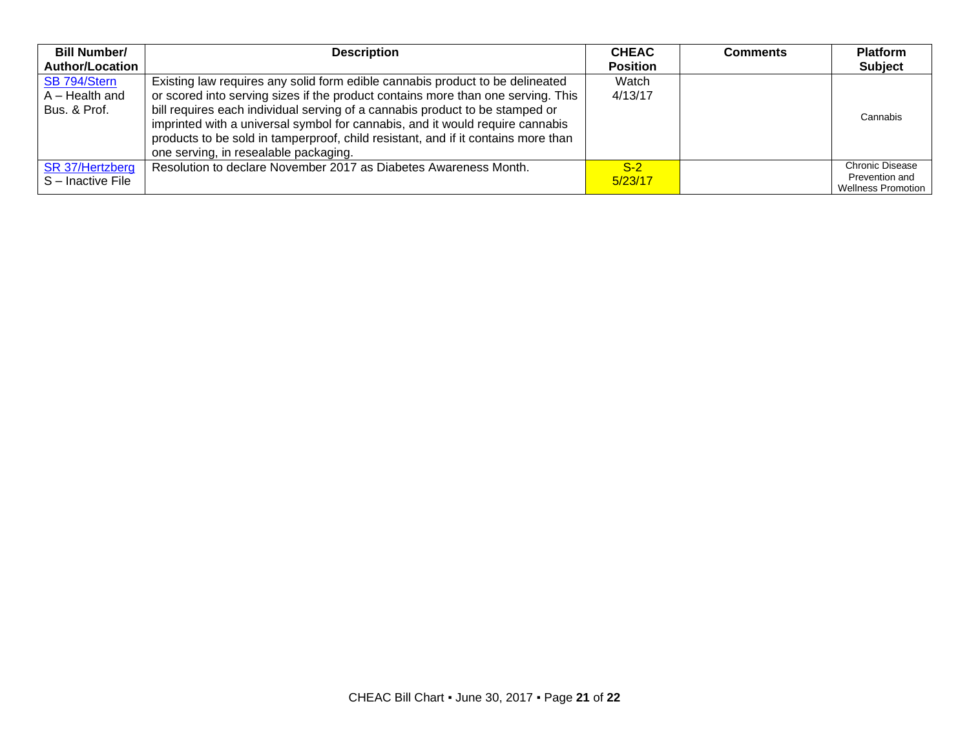| <b>Bill Number/</b>    | <b>Description</b>                                                                | <b>CHEAC</b>    | <b>Comments</b> | <b>Platform</b>                             |
|------------------------|-----------------------------------------------------------------------------------|-----------------|-----------------|---------------------------------------------|
| <b>Author/Location</b> |                                                                                   | <b>Position</b> |                 | <b>Subject</b>                              |
| SB 794/Stern           | Existing law requires any solid form edible cannabis product to be delineated     | Watch           |                 |                                             |
| $A - Health$ and       | or scored into serving sizes if the product contains more than one serving. This  | 4/13/17         |                 |                                             |
| Bus. & Prof.           | bill requires each individual serving of a cannabis product to be stamped or      |                 |                 | Cannabis                                    |
|                        | imprinted with a universal symbol for cannabis, and it would require cannabis     |                 |                 |                                             |
|                        | products to be sold in tamperproof, child resistant, and if it contains more than |                 |                 |                                             |
|                        | one serving, in resealable packaging.                                             |                 |                 |                                             |
| SR 37/Hertzberg        | Resolution to declare November 2017 as Diabetes Awareness Month.                  | $S-2$           |                 | <b>Chronic Disease</b>                      |
| S-Inactive File        |                                                                                   | 5/23/17         |                 |                                             |
|                        |                                                                                   |                 |                 | Prevention and<br><b>Wellness Promotion</b> |